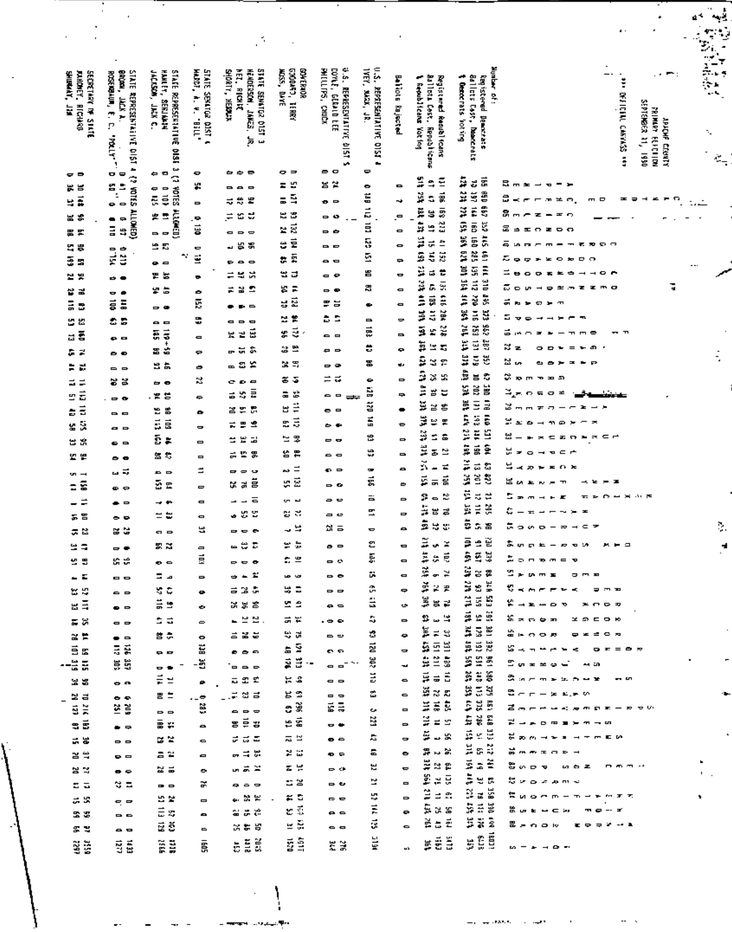| <b>SECRETARY OF STATE</b><br>Jundney, Richard<br>Shibrakt, Jan | STATE REPRESENTABLINE 015T 4 {2 YOTES ALLOWED}<br>BROAD, | <b>HAMLEY, SERIAMA</b><br>STATE REPRESENTING ONSE 3 (2<br>JACKSON, JACK C. | STATE SEVATOR DIST 4<br>HARRT, A. V. "BILL" | STATE SEMIGROUSE 1<br>SHORT, HESSLX<br><b>HET. FICKE</b><br>HENDERSON, JANES, JR. | <b>GOONED</b><br><b>CONERADR</b><br><b>WESS, DAYE</b> | a.s. REPRESENTATIVE \$151.5<br>cover, defails ter<br>PHILLIPS, CHICK | Ę,<br>19EY, MAX, JR. |                                            |                                                                          | Number of:                                                            | $\mathcal{L} \in \mathbb{R}^{n \times n}$ :<br>— <b>-</b><br>$\overline{\phantom{a}}$<br>Ĩ                                             |          |
|----------------------------------------------------------------|----------------------------------------------------------|----------------------------------------------------------------------------|---------------------------------------------|-----------------------------------------------------------------------------------|-------------------------------------------------------|----------------------------------------------------------------------|----------------------|--------------------------------------------|--------------------------------------------------------------------------|-----------------------------------------------------------------------|----------------------------------------------------------------------------------------------------------------------------------------|----------|
|                                                                | ROSERBAUM, E. C.                                         |                                                                            |                                             |                                                                                   |                                                       |                                                                      | REPORTED THAT ONE A  | Baliots Rajected                           | Ballota Cost,<br><b>L</b> firebiltener Vating<br>Registered Readel foans | Ballats Cest, Dearcrats<br>t Gerocrats<br><b>Can is tered Denotes</b> |                                                                                                                                        |          |
|                                                                | JACK A.                                                  |                                                                            |                                             |                                                                                   | 月明                                                    |                                                                      |                      |                                            |                                                                          |                                                                       |                                                                                                                                        |          |
|                                                                |                                                          |                                                                            |                                             |                                                                                   |                                                       |                                                                      |                      |                                            |                                                                          | <b>Potage</b>                                                         | <b>SERICITY CARRIES</b><br>SEPTENBER 11, 1950<br><b>MITRY FEFETION</b><br><b>SPICHE CLOSES</b>                                         | ۰.       |
|                                                                | 11784                                                    |                                                                            |                                             |                                                                                   |                                                       |                                                                      |                      |                                            | Republicans                                                              |                                                                       |                                                                                                                                        |          |
|                                                                |                                                          |                                                                            |                                             |                                                                                   |                                                       |                                                                      |                      |                                            |                                                                          |                                                                       | ã                                                                                                                                      | 豪        |
| ⊂ P                                                            | o<br>$\overline{\phantom{0}}$                            | $\blacksquare$<br>⇔                                                        | o                                           | $\bullet$ $\bullet$ $\bullet$                                                     | 。∍                                                    | - -                                                                  | Φ                    |                                            |                                                                          |                                                                       |                                                                                                                                        |          |
| g g                                                            | ្ម<br>ត្ន                                                | S310A<br>ç<br>$\Rightarrow$                                                | ¥.                                          | ---                                                                               | ٣,<br>z                                               | 음설                                                                   | ۰                    | $\blacksquare$                             | ÷<br>981 110<br>$\ddot{ }$                                               | ţ,<br>នធិ<br>t.<br>ĝ                                                  | 己 ㅠ<br>$\mathbf{r}$<br>- -<br>$\overline{\phantom{0}}$<br>$\mathbf{v}$                                                                 |          |
| ã<br>ч                                                         |                                                          | ē<br>ā                                                                     | $\qquad \qquad \blacksquare$                | ₩<br>E<br>ನ                                                                       | Ē,<br>Б                                               | $\bullet$ $\circ$                                                    | <b>COL 211 BR</b>    | ÷                                          | t.<br>¢,                                                                 | š<br>5<br>ĕ                                                           | s<br><b>****</b><br>$m = m$<br>m D<br>ᆂ<br>$\Rightarrow$<br>$\overline{ }$<br>×.<br>شاه<br>$\blacksquare$                              |          |
| W\$                                                            | $\Rightarrow$<br>٠                                       | <b>ALLAMED</b><br>雲雲                                                       | . Ф                                         | 10 U<br>F.                                                                        | 23                                                    | - 0                                                                  |                      | ۰.                                         | ES 233<br>nat dan<br>s                                                   | 1.51 1.60<br>Ģ<br>ğ                                                   | э<br>$-$<br>Ŧ.<br>$- = 0$                                                                                                              |          |
| 票 笑                                                            | E<br>÷,                                                  | --                                                                         | ë                                           | $\blacksquare$<br>$\Rightarrow$ $\Rightarrow$                                     | ម្ពុជ្<br>É                                           | - 6                                                                  | Ş                    | $\qquad \qquad \blacksquare$               | ÷<br>ă                                                                   | ã<br>s.<br>5                                                          | ‱a±ozoo<br>క                                                                                                                           |          |
| g g                                                            | Įį                                                       | 9 E<br>÷.                                                                  | Φ<br>Ë                                      | 55<br>J.                                                                          | ٣<br>ğ                                                | --                                                                   | 던                    | ٠                                          | 41.332<br>ಕ<br>5                                                         | g<br>ă<br>ē                                                           | 50<br>$\mathbf{m}$<br>. .<br>$\mathbf{r}$<br>$\overline{\phantom{a}}$<br>л<br>۰<br>$\Rightarrow$<br>٠<br>怎<br>$\overline{ }$<br>۰<br>o |          |
| ś<br>E.                                                        |                                                          | $\bullet$ $\circ$                                                          |                                             | .<br>蛋                                                                            | ÷<br>벌 급                                              | . .                                                                  | 旨                    | $\Rightarrow$                              | es so<br>÷<br>ಡ                                                          | Ģ,<br>Ē                                                               | .<br>⋍<br>e<br>$^{\circ}$<br>$\mathbf{\sigma}$                                                                                         |          |
| 보봉                                                             | $\Rightarrow$ $\bullet$                                  | 胃器<br>r a                                                                  | ۰                                           | 旱<br>≓<br>불출<br>÷                                                                 | Ξ<br>æ,                                               | o e<br>- -                                                           | 謌                    | ۰<br>$\blacksquare$                        | ě<br>ç,<br>G,                                                            | <b>And Add And</b><br>$\vec{a}$<br>ă                                  | Б<br>ಪ<br>$\bullet$<br>$\bullet$<br>半点<br>т<br>æ<br>m o<br><b>UP</b>                                                                   |          |
| 끃 굴<br>$\overline{a}$                                          | $ -$<br>ā<br>ā                                           |                                                                            | ۰<br>Ķ,                                     | $\blacksquare$                                                                    | É<br>g                                                | F S                                                                  | $\bullet$            | $\qquad \qquad \blacksquare$               | ä<br>â<br>š                                                              | ě<br>ă                                                                | 하세<br>Đ.<br>×<br>$\overline{\phantom{a}}$                                                                                              |          |
| B                                                              |                                                          | $\sim$ $\bullet$                                                           | ٥                                           |                                                                                   | 성원                                                    | ż,<br>÷.                                                             | $\blacksquare$       | ٠                                          | ă<br>ğ<br>š                                                              | ž<br>ă<br>ă                                                           | 5<br>m.<br>卫                                                                                                                           |          |
| s<br>뜺<br>š                                                    | C B                                                      | $\bullet$ $\bullet$<br>$\vec{a}$<br>ä                                      |                                             | ---<br>Ε<br>X 2                                                                   | $\vec{z}$<br>ä,                                       | - -                                                                  | æ                    | -                                          | ¥<br>3<br>£                                                              | ž<br>Š<br>ğ                                                           | ᇰ<br>٠<br>Ŧ<br>m<br>$\blacksquare$<br>T                                                                                                |          |
| 굽                                                              | e =                                                      | ŧ<br>ä<br>z                                                                | $\blacksquare$                              | - ដង                                                                              | 2 L                                                   | e e                                                                  | ÷                    | ٠                                          | ă<br>$\simeq$ $\pi$                                                      | Ì,<br>ă<br>헢                                                          | ಸಿತ<br>æ<br>۰<br>$\equiv$<br>Ð                                                                                                         |          |
| à,<br>Z<br>።<br>럾                                              | $\bullet$                                                | 96                                                                         | ç<br>۰                                      | ≖ឌ្≍                                                                              | X E                                                   | $\sim$ $\sim$                                                        | 冨                    | st e                                       | ē<br>Ŧ.<br>×                                                             | ã<br>$\tilde{z}$<br>ë                                                 | 12 대<br>÷<br>$\equiv$<br>F<br>$\bullet$<br>х.                                                                                          | ś        |
| $\equiv$<br>Ξ                                                  | --<br><b>33</b>                                          | $\leftrightarrow$ $\bullet$                                                | R.                                          | 0000                                                                              | នន                                                    | ≍ ದ                                                                  | ۰                    | $\Rightarrow$                              | Ş<br>¥,<br>ă.                                                            | NES BAP<br>55                                                         | ≈<br>P <sub>1</sub><br>$\mathbf{w}$<br>-53                                                                                             |          |
| É<br>쁘                                                         | $\sim$ $\sim$                                            | . 혼 병                                                                      | ÷                                           | Ē<br>X,<br>õ,                                                                     | 뿞<br>a                                                | - -<br>₩                                                             | š                    | ÷                                          | â<br>้<br>Ξ                                                              | ä<br>ă                                                                | ್ಮ≂೧೯೦≠                                                                                                                                |          |
| Ë<br>õ                                                         | --                                                       | 19 S                                                                       | ۰                                           | e e B                                                                             | Ë<br>ᆸ                                                | $\bullet$ $\circ$                                                    | ã                    | ۰                                          | Ë,<br>28                                                                 | $\bar{z}$<br>ă<br>Ξ                                                   | చ⊶<br>क ना<br>$\mathbf{z}$<br>$\mathbf{r}$                                                                                             |          |
| ÿ,<br>g                                                        | . .                                                      | $\vec{a}$<br>ã                                                             | $\blacksquare$                              | ÷<br>ട<br>霊                                                                       | 5<br>E,                                               | 60                                                                   | É                    | ູ                                          | ă<br>쁮<br>黑                                                              | Ē<br>us an<br>ä                                                       | ЖÆ<br>$\bullet$<br>$\overline{\phantom{a}}$<br>m @<br>×<br>$\overline{\phantom{0}}$<br>-25                                             |          |
| ង ង                                                            | $\bullet$ $\circ$                                        | ē<br>÷                                                                     | $\blacksquare$                              | ۱.<br>님<br>÷                                                                      | 罗<br>≈                                                | --                                                                   | 岊                    | $\Rightarrow$                              | š<br>÷,<br>흛                                                             | <b>HIL 185</b><br>101 ES                                              | 쎮<br><b>********</b>                                                                                                                   |          |
| 법 별                                                            | $\bullet$ $\bullet$                                      | 富贵                                                                         | Ξ                                           | 景<br>ø.<br>v.                                                                     | 퓨<br>쑵                                                | . .                                                                  | s                    | $\blacksquare$                             | Ë<br>P<br>z                                                              | ē                                                                     | Α<br>$\epsilon$ $\sim$<br>$\,$<br>$\circ$<br>$\overline{\phantom{a}}$<br>$\mathbf{v}$                                                  |          |
| $\mathbf{m}$ $\rightarrow$                                     | ᇤᄛ                                                       | $\sim$ $\sim$                                                              | ≝                                           | - -<br>$\overline{\phantom{a}}$                                                   | $\equiv$<br>t.                                        | o e                                                                  | Ξ.                   | $\bullet$                                  | š<br>z<br>-                                                              | õ<br>₹,<br>S                                                          | ≒⊸∞⊢<br>69 R<br>$\blacksquare$                                                                                                         |          |
| š<br>Ξ                                                         | ⇔ ی                                                      | ā e                                                                        | 0                                           | Ë<br>긝<br>٠                                                                       | 훞<br>٥,                                               | $\sim$ $\alpha$                                                      | g                    | ٠                                          | š<br>$\vec{B}$<br>긂                                                      | š<br>ë<br>š                                                           | 님<br>×<br>u<br>$\mathbf{r}$<br>÷<br>k.                                                                                                 |          |
| ÷                                                              | . .                                                      | ⊸ ⊷                                                                        | o                                           | ᇹ<br>$\overline{\phantom{a}}$<br>$\overline{\phantom{0}}$                         | د س                                                   | െ అ                                                                  | Ξ                    | $\Rightarrow$                              | Ŧ<br>æ<br>$\qquad \qquad \blacksquare$                                   | š<br>ನ<br>≈                                                           | 5<br>- A 1 75<br>H<br>o<br>ىم<br>×<br>$\mathbf{r}$<br>$\mathbf{r}$                                                                     |          |
| 5 E                                                            | $\bullet$ $\bullet$                                      | $=$ $=$                                                                    | $\blacksquare$                              | z<br>v,<br>÷                                                                      | ₹,<br>s                                               | a c                                                                  | E                    | $\mathbf{r}$                               | ä<br>₹<br>븀                                                              | ă<br>Ē<br>ă                                                           | ٥<br>×<br>$\overline{\mathbf{r}}$<br>$\overline{\phantom{a}}$<br>×                                                                     |          |
| ದ ಜ                                                            | 2 Y                                                      | . .                                                                        | ᄖ                                           | ---                                                                               | -, ≒                                                  | ෬ ゠                                                                  | Φ                    | $\bullet$                                  | 5<br>5<br>X.                                                             | 5<br>気温                                                               | ㅎㅎ<br>$\subset$<br>$\overline{z}$<br>$\omega$ $\infty$<br>$\overline{\phantom{a}}$<br>$\overline{z}$<br>$\overline{\phantom{a}}$       | $\gamma$ |
| e a                                                            | - -                                                      | ឌដ                                                                         | 8                                           | - 8<br>τ                                                                          | ÷<br>e.                                               | $\bullet$ $\circ$                                                    | g                    | $\blacksquare$                             | Ξ<br>×<br>v.                                                             | ş<br>떹<br>÷                                                           | あい<br>ロ 年<br><b>R</b><br>$\mathbf{v}$<br>LА.<br>- 2<br>$\overline{\phantom{a}}$<br>м.                                                  | ź        |
| y g                                                            | s s                                                      | $\bullet$ $\bullet$                                                        | Ē                                           | $- - -$                                                                           | 본<br>c                                                | - 0                                                                  | Ę                    | $\blacksquare$                             | ă<br>Ę<br>à,                                                             | ŝ,<br>S<br>4L                                                         | ż<br>$\Rightarrow$<br><b>D D</b> <i>D</i><br>$\equiv$<br><b>R</b>                                                                      |          |
| - -                                                            | --                                                       | د ۵                                                                        | 0                                           | ÷,<br>٠                                                                           | w w                                                   | --                                                                   | ij.                  | $\blacksquare$                             | š<br>¥<br>$\pmb{\sigma}$<br>š                                            | š<br>និ<br>õ<br>ă                                                     | s<br><b><i><u><b>D. T. X.</b></u></i></b><br>ж.<br>٠<br>m a                                                                            |          |
| ts ts                                                          |                                                          | yr m<br>ה כי                                                               |                                             | Ğ,<br><b>금 꿈</b>                                                                  | Ξ<br>u,                                               | $\mathbf{A}$                                                         | Ø,                   | ¢                                          | F<br>z<br>ă                                                              | š<br>Ğ,<br>š<br>ă<br>S                                                | ¢,<br>e v<br>×.<br>군 후<br>$\tilde{\phantom{a}}$<br>Ŧ<br>۳<br>∍                                                                         |          |
| gē                                                             | $\bullet$ $\circ$                                        | ă e                                                                        | ۰                                           | អគ្គ                                                                              | e e                                                   | $\bullet$ $\circ$                                                    | 끊                    | ٠                                          | 買認                                                                       | g e<br>ğ                                                              | ₽ <sub>⊣</sub> ≥≖⊙⊽<br>260000                                                                                                          |          |
| ದ ಜ                                                            | $\bullet$ $\bullet$                                      | d d                                                                        | $\Rightarrow$                               | 느쁘끔                                                                               | 긂 눈                                                   | $ -$                                                                 | S,                   | $\Rightarrow$                              | Ŷ,<br>營<br>۱.<br>ă<br>$\sharp$ 3                                         | $\frac{1}{2}$ $\frac{1}{2}$<br>뿊                                      | ងឹភពស្ភ<br>хэгою<br>゠<br>゠゠ヮヮヮ                                                                                                         |          |
| $\approx$ $\approx$                                            | $\bullet$ $\circ$                                        | 普票                                                                         | o<br>ğ                                      | <b>225</b>                                                                        | ₩,<br>Ÿ                                               | $\sim$ $\sim$                                                        | ċ.<br>젆              | ۰                                          | i,                                                                       | ă ă<br>쁒                                                              | <b>□×=○≈</b><br>జ ⊸<br>$\mathbf{r}$<br>$\sim$ $\sim$ $\sim$<br>$\mathbf{o} = \mathbf{e} \times \mathbf{e}$<br>×.                       |          |
| s.                                                             | Ęğ<br>#                                                  | . .                                                                        | -5                                          | .                                                                                 | ᅌ<br>Ë<br>ã                                           | ດຕ                                                                   | ZA.                  | $\blacksquare$<br>$\overline{\phantom{a}}$ | 331 489<br>  151 211<br>ġ                                                | 598                                                                   | ကား<br>ကြားနားနားမှာ မ <sup>ေ</sup>                                                                                                    |          |
| -25                                                            |                                                          | $ \bullet$<br>E<br>۲,                                                      |                                             | $= 0$<br>ವ ಖಿ<br>던                                                                | <b>k</b> £                                            | <b>.</b>                                                             | ă                    | $\bullet$                                  | ş<br>$\vec{a}$                                                           | XIX                                                                   | a.<br>$\mathbf{m} = \mathbf{m} \cdot \mathbf{m} + \mathbf{m}$<br>- -                                                                   |          |
| 38                                                             | $-$                                                      | 書言                                                                         | ۰                                           | Ξ.<br>쳡<br>$\mathbf{d}$                                                           | ដន                                                    | <b>.</b><br>- -                                                      | Ľ,                   | ۰                                          | š<br>rs<br>E                                                             | s a s                                                                 | 업 서<br>to at an                                                                                                                        |          |
| ≌ a<br>šž                                                      | $\bullet$<br>Š                                           |                                                                            | $\overline{\phantom{a}}$<br>õ               | $\sim$ $\sim$ $\sim$                                                              | లి కి                                                 | E J                                                                  | ٠                    | Ξ                                          | $\vec{=}$<br>ă<br>ţ.                                                     | S U B                                                                 | ತೋರ<br>计中央通用数字表示的                                                                                                                      |          |
| 9 Š                                                            | $\bullet$ $\bullet$                                      | $\Rightarrow$ $\Rightarrow$<br>§ µ                                         | 8                                           | s é s                                                                             | ម្ពុន                                                 | $-$                                                                  | ă                    | 0                                          | ÷<br>$\equiv$ $\equiv$                                                   | s X 2                                                                 | 걸다<br>$\mathbf{D} \equiv \mathbf{H} \mathbf{H}$                                                                                        |          |
| s s                                                            | $\Rightarrow$ $\Rightarrow$                              | 정점                                                                         | $\bullet$                                   | ರ ದ ಪ                                                                             | ವ ಅ                                                   | $\bullet$ $\bullet$                                                  | Ľ,                   | $\Rightarrow$                              | š<br>$\rightarrow$ 33                                                    | s e U                                                                 | $5.86 \pm 1.5$                                                                                                                         |          |
| ិ ដ                                                            | $\bullet$ $\bullet$                                      | aγ                                                                         | ۰                                           | 유북풍                                                                               | 25                                                    | $\bullet$ e                                                          | 도                    | ۰                                          | Ŧ,<br>u ≌                                                                | is:                                                                   | <b>គឺ</b> គគឺ គគឺ គគឺ                                                                                                                  |          |
| 불법                                                             | $\bullet$                                                | z s                                                                        | ۰                                           | 运动学                                                                               | 분보                                                    | o o                                                                  | F.                   | Ξ                                          | ¥<br>ង ឌ                                                                 | s a<br>š                                                              | ដីតែគម<br>.<br><b>BAA</b>                                                                                                              |          |
| ದ ಮ                                                            | ು ಪ                                                      | $\rightarrow$ $\rightarrow$                                                | ×                                           | $\bullet$ $\circ$ $\circ$                                                         | 등 음                                                   | $\overline{a}$                                                       | ×                    | $\blacksquare$                             | ģ.<br>H,<br>Ğ,                                                           | ă<br>보호                                                               | 怒し<br>தை தகை                                                                                                                           |          |
| <b>22</b>                                                      | 99                                                       | 53                                                                         | $\blacksquare$                              | ត្ដដ                                                                              | $\approx$ 5                                           | e e                                                                  | ÷,                   | $\Rightarrow$                              | ≅<br>$\equiv$ 3:                                                         | š<br>¥.                                                               | $50000 - 1$<br>65 F F<br>٠                                                                                                             |          |
| 23                                                             | $\sim$ $\sim$                                            | ∄ s                                                                        |                                             | នគត                                                                               | e s                                                   | $\bullet$ $\bullet$                                                  | É                    | $\bullet$                                  | ÷.<br><u>អ្ន</u>                                                         | \$#                                                                   | ؿ ؿ<br>$\mathbf{E}$<br>$  -$<br>Ŧ<br>٠<br>- 21                                                                                         |          |
| ませ                                                             | . .                                                      | ž Š                                                                        | ۰                                           | <b>គេគ</b>                                                                        | $\simeq 5$                                            | $\sim$ $\sim$                                                        | ã                    | $\bullet$                                  | ğ<br>췬<br>$\frac{1}{10}$                                                 | 5äž                                                                   | ₩.<br>0.000<br>×.<br>E P<br>$\Rightarrow$                                                                                              |          |
| ¥ä                                                             | 55                                                       | Ř                                                                          | 丽                                           | Ĕ<br>픏<br>ō                                                                       | ğĝ                                                    | XX                                                                   | 믍                    | ۵Ś.                                        | É<br>ă<br>ă                                                              | Ē<br>e e                                                              | <b>10 - 10 - 10 - 11</b>                                                                                                               |          |
|                                                                |                                                          |                                                                            |                                             |                                                                                   |                                                       |                                                                      |                      |                                            |                                                                          |                                                                       |                                                                                                                                        |          |

Ķ

J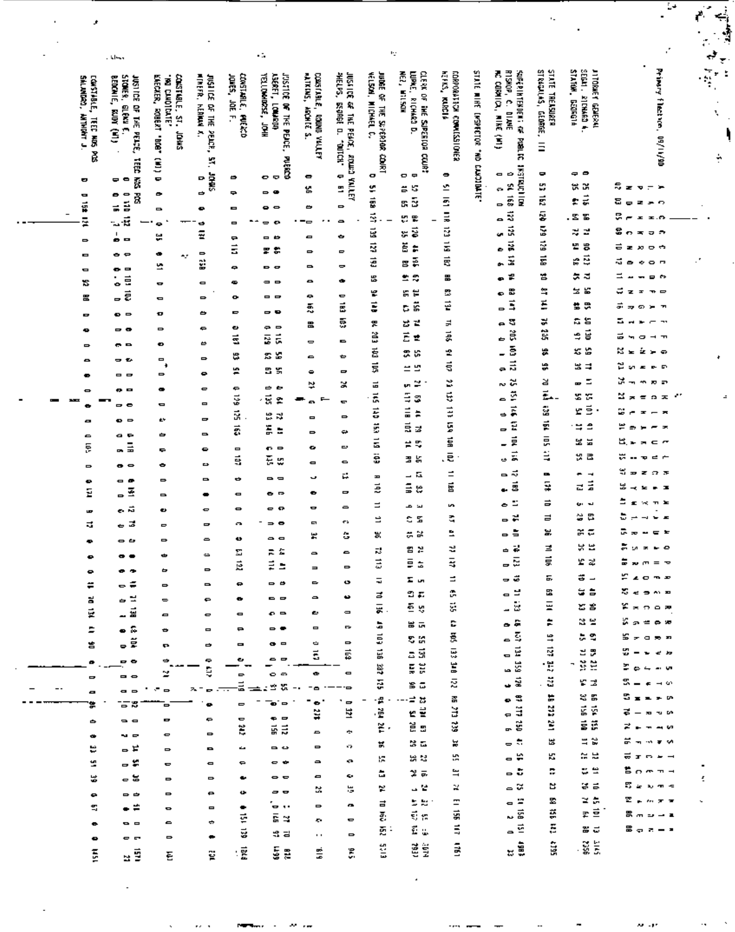|                              |                                                                | وجالق                                                                    |                                                                            |                                                              |                                                 | о.                                                                            |                                                |                                                                                  |                                                        | w                                                                               |                                                   |                          |                                                                                                    |                                                   |                                                                               |                                                         | ٠       |
|------------------------------|----------------------------------------------------------------|--------------------------------------------------------------------------|----------------------------------------------------------------------------|--------------------------------------------------------------|-------------------------------------------------|-------------------------------------------------------------------------------|------------------------------------------------|----------------------------------------------------------------------------------|--------------------------------------------------------|---------------------------------------------------------------------------------|---------------------------------------------------|--------------------------|----------------------------------------------------------------------------------------------------|---------------------------------------------------|-------------------------------------------------------------------------------|---------------------------------------------------------|---------|
|                              | SALANDRO,<br><b>CONSTABLE, TEEE NOS POS</b><br><b>THANKING</b> | STONER, G<br>Beidaie,<br>JUSTICE OF THE PEACE,<br>erem<br>KING (IV)<br>ñ | CONSTIBLE, ST.<br>KAECAER, ROBERT "BOB"<br>BINDING N.<br><b>CHHDL</b><br>Ŝ | ulmera.<br>JUSTLES OF THE PEACH,<br><b>HENRIA</b><br>×<br>ķ, | CONSTARLE.<br>Janes, JaE<br><b>DAIR 20</b><br>고 | YELLOWINGSE, JOHN<br>ASKET,<br><b>JUSTICE OF THE PEACE.</b><br><b>Louispi</b> | CONSTABLE, ROUND VALUEY<br>WATKENS,<br>MONE S. | MELPS.<br>JUSSICE OF THE PEACE, ROWS VALUEY<br><b>ES-2005E</b><br>P,<br>. ADIEL. | JUDGE OF THE SUPÉRIOR<br>Vélison, Michael C.<br>Colici | CLE 90 DF<br>NEZ, WILSON<br>LUMIE.<br><b>RICHARD</b><br>THE SUPERIOR COURT<br>ē | <b>KEPICS, KURCIA</b><br>CORPORATION CONTESTIONER | STATE WINE ENSPECTOR *ND | <b>FISHOP,</b><br>7,<br><b>Superint Highway</b><br>CORMICA, MIKE<br>C. DIAME<br>Ĵ<br><b>Praice</b> | STRAGULAS, GEORGE,<br>STATE TREASURER<br>$\equiv$ | SEGAT, RICHARD 4.<br><b>STAT00</b><br><b>JIONET GENERAL</b><br><b>A101024</b> | Primary filestace, 09/11/90                             | ⇆<br>÷, |
|                              |                                                                | 雷灵                                                                       | ٠                                                                          | ۰                                                            | ٠                                               | <b>PUERCO</b><br>စစ                                                           | $\bullet$                                      | ç                                                                                | o                                                      | ㅁ ᄆ                                                                             | 0                                                 |                          | ⊖ ⊖                                                                                                | ٠                                                 | ۰,                                                                            |                                                         |         |
|                              | o                                                              | . .                                                                      |                                                                            | SMAC<br>⇨                                                    | ٠                                               | $\sim$ $\bullet$                                                              | ĸ                                              | E                                                                                | ٣                                                      | s<br>≝                                                                          | ٣,                                                | <b>BINDICAY</b>          | <b>RESTRUCTION</b><br>- 2                                                                          | Ľ,                                                | x<br>₩                                                                        | ៊ីខ<br>$\mathbf{v} = \mathbf{v}$                        |         |
|                              | Ξ<br>ğ                                                         | Ř<br>$\bullet$ $\bullet$<br>É                                            | ۰                                                                          |                                                              |                                                 |                                                                               | 凸                                              | $\Rightarrow$                                                                    | Ē                                                      | S<br>딵                                                                          | š                                                 |                          | - 5                                                                                                | E                                                 | 류<br>÷                                                                        | 3<br>æ.<br>Đ.<br>$\Rightarrow$<br>$\tilde{\phantom{a}}$ |         |
| $\qquad \qquad \blacksquare$ |                                                                | ÷<br>u š                                                                 | $\blacksquare$                                                             | ۰                                                            | $\qquad \qquad \blacksquare$                    | . .                                                                           | . .                                            | $\Rightarrow$                                                                    | š                                                      | s<br>ዌ                                                                          | $\Xi$                                             |                          | <u>្គ</u> ឆ្នឹ                                                                                     | ş                                                 | 図图                                                                            | G<br><b>E.O</b><br>ᆂ                                    |         |
|                              | ¥                                                              | -1                                                                       | ۰                                                                          | ø<br>÷                                                       | $\blacksquare$                                  | ø<br>$\blacksquare$                                                           | . --                                           |                                                                                  | ĕ                                                      | š<br>×                                                                          | ŭ                                                 |                          | . š                                                                                                | š                                                 | ×.<br>걸                                                                       | 8<br>ಕ ಅ<br><b>C</b><br>写                               |         |
|                              | 0                                                              | . .                                                                      | u                                                                          |                                                              | ٠<br>Ξ                                          |                                                                               | Ξ                                              | ٠                                                                                | ğ                                                      | ĕ<br>÷                                                                          | E                                                 |                          | 룷                                                                                                  | ź                                                 | 변<br>s                                                                        | ರ≖ಖ<br>ಅಅ                                               |         |
|                              | Ξ                                                              | . .                                                                      | ۰<br>۰,                                                                    | $\Rightarrow$<br>¥                                           |                                                 | r e                                                                           | $\Rightarrow$                                  | Ξ                                                                                | Ë                                                      | é<br>霅                                                                          | Ę                                                 |                          | ä<br>ቊ                                                                                             | ś                                                 | 룑<br>e                                                                        | J.<br>$\sim$ $\sim$<br>$\bullet$<br>۰                   | г,      |
|                              | Ξ                                                              | . .                                                                      | 쁘                                                                          |                                                              | ٠                                               | . .                                                                           | $\blacksquare$                                 | ,                                                                                | ᇥ                                                      | m s                                                                             | 畕                                                 |                          | еÊ                                                                                                 | 쎰                                                 | 등록                                                                            | ᅼ<br>∍⇔                                                 |         |
|                              | 13                                                             | Ē<br>٠                                                                   | Φ                                                                          | $\blacksquare$                                               | ٠                                               | $= 0$                                                                         | ۰                                              | ٠                                                                                | ٣                                                      | ٣<br>я                                                                          | B                                                 |                          | 巼                                                                                                  | ≊                                                 | 물물                                                                            | ๘<br>$\blacksquare$<br>z<br>Ŧ                           |         |
|                              | 岊                                                              | ., ë                                                                     | Ξ                                                                          | $\Rightarrow$                                                | $\bullet$                                       | - -                                                                           | ç                                              | U<br>É                                                                           | š                                                      | š                                                                               | 쥳                                                 |                          | ۰<br>Ę                                                                                             | š                                                 | 禁忌                                                                            | ÷<br>≫. m<br>æ<br>କ                                     |         |
|                              | ۰                                                              | . .                                                                      | o                                                                          | ٠                                                            | ۰                                               | - -                                                                           | ã                                              |                                                                                  |                                                        | ۵                                                                               |                                                   |                          | $\Rightarrow$<br>ត្ត                                                                               | ¥                                                 | ស ឌ                                                                           | 5<br>— <del>-</del>                                     |         |
|                              | ٠                                                              | - -                                                                      | ۰                                                                          | e                                                            | ٠                                               | e e                                                                           | 岊                                              | ē                                                                                | 못                                                      | 걸<br>ස                                                                          | 로<br>s                                            |                          | ្ដ                                                                                                 | ã                                                 | ë                                                                             | ᇰ                                                       |         |
|                              | $\Rightarrow$                                                  | . .                                                                      | $\bullet$                                                                  | ٠                                                            | š                                               | Ē,<br>ē                                                                       | $\Rightarrow$                                  | $\blacksquare$                                                                   | Š                                                      | Ë<br>쾓                                                                          |                                                   |                          | š                                                                                                  |                                                   | ₿                                                                             | $ -$<br>$\bullet$<br>∽                                  |         |
|                              | $\bullet$                                                      | - 0                                                                      | $\blacksquare$<br>4                                                        | $\Rightarrow$                                                | ₩                                               | s s                                                                           | $\bullet$                                      | ٠                                                                                | É                                                      | 3 5                                                                             | L                                                 |                          | Ξ.<br>្ដដ                                                                                          | 뚫                                                 | 35 S                                                                          | ಜ≖<br>ဆောင်း                                            |         |
|                              | $\bullet$                                                      | - -                                                                      | $\Rightarrow$                                                              | ۰                                                            | ÷                                               | 8 S                                                                           | ٠                                              | $\blacksquare$                                                                   | š                                                      | <b>프 또</b>                                                                      | Ę                                                 |                          |                                                                                                    | ÷                                                 | x =                                                                           | జ<br>se.<br>$\mathbf{r}$<br>医尿                          |         |
|                              | 0                                                              | . .                                                                      | $\bullet$                                                                  | ¢                                                            | ٠                                               | ه ه                                                                           | ᄓ                                              | ×                                                                                | 급                                                      | ≃<br>ţ.                                                                         | B                                                 |                          | ៷៷                                                                                                 | ¥                                                 | Ξ<br>Ŗ                                                                        | ×<br>双部<br>$\mathbf{r}$<br>$\overline{\phantom{a}}$     |         |
| ᆓ                            |                                                                | - -                                                                      | Φ                                                                          | $\qquad \qquad \blacksquare$                                 | š                                               | -5<br>₽                                                                       |                                                | t                                                                                | ã                                                      | Ξ<br>3                                                                          | Ę                                                 |                          | Ž<br>۰                                                                                             | Ē.                                                | z v                                                                           | ×<br>$\pi$ o $\pi$ . $\pi$<br>$\overline{\mathbf{z}}$   |         |
|                              | 8                                                              | $\bullet$ $\circ$                                                        | ż۲                                                                         | $\overline{a}$                                               | ă,                                              | 쁪<br>ಧ                                                                        | $\blacksquare$                                 | $\Rightarrow$                                                                    | Ë                                                      | $\vec{=}$<br>÷                                                                  | $\ddot{=}$                                        |                          | ٠Ř                                                                                                 | ž                                                 | rš                                                                            | s.<br>×<br>$ \pi$                                       |         |
|                              | 0                                                              | a e                                                                      | ٠                                                                          | $\qquad \qquad \blacksquare$                                 | ã                                               | ă<br>÷                                                                        | $\Rightarrow$                                  | ۰.                                                                               | š                                                      | 료<br>귫                                                                          | š                                                 |                          | Ξ<br>$\overline{a}$                                                                                | É                                                 | $\Xi$ $\Xi$                                                                   | 날<br>$ -$<br>$\Rightarrow$<br>۰                         |         |
|                              | ě                                                              | $\overline{a}$                                                           | ٠                                                                          | ۰                                                            | $\blacksquare$                                  | o e                                                                           | ۰                                              | U                                                                                | Ē,                                                     | 言思                                                                              | Ś                                                 |                          | É<br>-                                                                                             | ē                                                 | g g                                                                           | 出.<br>$\sim$ $\sim$<br>ъ.<br>$\mathbf{r}$               |         |
|                              |                                                                | $\bullet$ $\circ$                                                        | ۰                                                                          | ⋻                                                            | 5                                               | 퓑<br>u,                                                                       | $\blacksquare$                                 | $\bullet$                                                                        | Ë                                                      | 温泉                                                                              | . 큰                                               |                          | $\vec{p}$<br>٠                                                                                     | ₿                                                 | 였죠                                                                            | ₩<br>$-$<br>Ŧ                                           |         |
|                              | $\Rightarrow$                                                  |                                                                          | $\Rightarrow$                                                              | $\blacksquare$                                               | ٠                                               | --                                                                            | u                                              | р                                                                                | H                                                      | - ធ                                                                             | E,                                                |                          | ⇒ ನ                                                                                                | œ                                                 | ٠<br>$\rightarrow$                                                            | w<br>常绿素<br>$\overline{ }$                              |         |
|                              | ۰<br>Ξ                                                         | - 0<br>줔<br>$\Rightarrow$                                                | $\blacksquare$                                                             | $\bullet$                                                    | $\qquad \qquad \blacksquare$                    | . .                                                                           | ٠                                              | $\overline{\phantom{0}}$                                                         | ē                                                      | $\Xi$ $z$                                                                       | É                                                 |                          | $\vec{\mathbf{g}}$<br>٠                                                                            | ÷                                                 | ă<br>군                                                                        | 出<br>. .<br>×<br>×                                      |         |
|                              |                                                                | تہ ہے                                                                    |                                                                            | $\bullet$                                                    | $\bullet$                                       | <u>⇔ ຄ</u>                                                                    | o                                              | $\Rightarrow$                                                                    | Ξ                                                      | س م                                                                             | S                                                 |                          | ≃ ہ                                                                                                | ᇹ                                                 | نہ بن                                                                         | ۵<br>$\times$ n k<br>£                                  |         |
|                              | w                                                              | ᇰᇰ                                                                       | ٠                                                                          | Ξ                                                            | $\sim$                                          | $\Rightarrow$ $\bullet$                                                       | Ξ                                              | £9                                                                               | ⋍                                                      | e s                                                                             | 5                                                 |                          | ᇰᄫ                                                                                                 | ᆯ                                                 | ង ឌ                                                                           | ٠<br>$\sim$ $\approx$<br>$\overline{a}$<br>Į            |         |
|                              | ನ                                                              |                                                                          | $\blacksquare$                                                             |                                                              | Ü                                               | $\bullet$ $\bullet$                                                           | ×                                              | ŝ                                                                                | ×                                                      | a x                                                                             | à                                                 |                          | $-5$                                                                                               | ×.                                                | ភ្ល                                                                           | 긊<br>∈ ⊭<br>$\mathbf{r}$<br>$\overline{\phantom{a}}$    |         |
|                              | ٠                                                              | . .                                                                      | $\Rightarrow$                                                              | 0                                                            | Σ                                               | πċ                                                                            | $\bullet$                                      | -                                                                                | ನ                                                      | 좀 본                                                                             | z                                                 |                          | ᇰᄒ                                                                                                 | Ξ                                                 | * =                                                                           | IJ,<br>$x - c$                                          |         |
|                              | ۰                                                              | . .                                                                      | Ф                                                                          | دە                                                           | ē                                               | E<br>÷,                                                                       | $\qquad \qquad =$                              | $\Rightarrow$                                                                    | Ξ                                                      | Ξ<br>호                                                                          | ₹                                                 |                          | ្ធ ឆ្ន                                                                                             | ţ                                                 | r z                                                                           | =<br>$=$ $\infty$<br>m<br>$\mathbf{v}$                  |         |
|                              | ۰                                                              | $\overline{ }$                                                           | ᇰ                                                                          | $\Rightarrow$                                                |                                                 |                                                                               | $\Rightarrow$                                  | ٠                                                                                | Ξ                                                      | I in                                                                            | Ξ                                                 |                          | - 3                                                                                                | Б,                                                | õ<br>$\overline{\phantom{a}}$                                                 | 2072                                                    |         |
|                              | ÷                                                              | - ÷                                                                      | $\Rightarrow$                                                              | 0                                                            | ٠                                               | - 5                                                                           | $\bullet$                                      |                                                                                  | z                                                      | ಲಿ ಪ                                                                            | œ,                                                |                          | پ                                                                                                  | 땂                                                 | ÷.<br>盲                                                                       | ងឹមគ្នា គ                                               |         |
|                              | ă                                                              | ᇂ보<br>료                                                                  | $\Rightarrow$                                                              | ٠                                                            | ٠                                               | - -                                                                           |                                                | $\blacksquare$                                                                   | 륯.                                                     | ల్ క                                                                            | ÿ.                                                |                          | L is                                                                                               | Ξ                                                 | r s                                                                           | ¥*noæ                                                   |         |
|                              | Ē.                                                             |                                                                          | 8                                                                          |                                                              | Φ                                               | o e                                                                           | ت                                              | P.                                                                               | ä                                                      | 불특                                                                              | C                                                 |                          | $\sim$ $\approx$                                                                                   | ÷                                                 | ង ម                                                                           | ងឹទ≡ត្ឆ                                                 |         |
|                              | Ξ                                                              | $\bullet$ $\ddot{\circ}$                                                 | ⇔                                                                          | $\blacksquare$                                               | ⋼                                               | - -                                                                           | Ξ                                              |                                                                                  | ã                                                      | s in                                                                            | 흜                                                 |                          | ្ន                                                                                                 | 쁙                                                 | ងន                                                                            | 55<br>0.55.27                                           |         |
|                              | 嵩                                                              | .ã                                                                       | r.                                                                         | ⇨                                                            | $\blacksquare$                                  | $\bullet$ $\Box$                                                              | Ġ,<br>$\vec{\mathbf{5}}$                       | $\Rightarrow$<br>忌                                                               | g                                                      | 59                                                                              | ē                                                 |                          | $\equiv \vec{x}$                                                                                   | ğ                                                 | ಕ ಕ                                                                           | s<br>$\epsilon$ is                                      |         |
|                              | ۰                                                              | . .                                                                      |                                                                            | ç                                                            | ٠                                               | - -                                                                           |                                                |                                                                                  | Ę                                                      | şg                                                                              | ă                                                 |                          | ្ធដូ                                                                                               | t.                                                | - 38                                                                          | Þ                                                       |         |
|                              | $\blacksquare$                                                 | - -                                                                      | ≃                                                                          | Ş                                                            | ь                                               | o e                                                                           | ٠                                              | ۰                                                                                | ā                                                      | s a                                                                             | ž                                                 |                          | ڇَ ت                                                                                               | . ដ                                               | r z                                                                           | $\rightarrow$ $\omega$                                  |         |
|                              | o                                                              | <b>.</b> .                                                               | $\Rightarrow$                                                              |                                                              | $\vec{a}$                                       | 25                                                                            | ۰                                              |                                                                                  |                                                        | ≔ ¤                                                                             | 좂                                                 |                          | e S                                                                                                | ÷,                                                | g g                                                                           |                                                         |         |
|                              | ÷                                                              | <u>. ន</u>                                                               | 8                                                                          |                                                              | 0                                               | $\Rightarrow$<br>ō.                                                           | ۰<br>¥                                         | Ξ<br>넆                                                                           | ٠£,<br>ě                                               | 변율                                                                              | ă                                                 |                          | ្និដ្ឋ                                                                                             | à,                                                | g ș                                                                           |                                                         |         |
|                              | ᇰ                                                              | $\sim$ $\sim$                                                            | o                                                                          | 0                                                            | ۰                                               | • ⇔                                                                           |                                                |                                                                                  | 笔.                                                     | ã s                                                                             | ğ                                                 |                          | ្ធដូ                                                                                               | Ĕ                                                 | ŠĎ,                                                                           |                                                         |         |
|                              | ٠                                                              | $\sim$ $\sim$                                                            | O                                                                          | $\Rightarrow$                                                | č                                               | s s                                                                           | $\blacksquare$                                 | ÷                                                                                |                                                        |                                                                                 |                                                   |                          | $\frac{1}{2}$                                                                                      | 낞                                                 | ≣ ≌                                                                           |                                                         |         |
|                              | ۳                                                              | - ≓                                                                      | 6                                                                          |                                                              | 4                                               | - 0                                                                           | $\Rightarrow$                                  | e٠,                                                                              | Ħ,                                                     | x.                                                                              | 뵳<br>w                                            |                          | <b>ី</b> ដ                                                                                         | K,                                                | $\simeq$ $\simeq$                                                             | ಕ<br>$\Box$ $\rightarrow$ $\rightarrow$<br>$\mathbf{r}$ |         |
|                              | ä,                                                             | - 5                                                                      | 0                                                                          | $\blacksquare$                                               | ٠                                               | - -                                                                           | $\sim$                                         | ç.                                                                               | 誤                                                      | 없 법                                                                             |                                                   |                          | - 5                                                                                                | ÷                                                 | a e                                                                           | 鲁吉米女子                                                   |         |
|                              | ¥                                                              | - ដ                                                                      | $\Rightarrow$                                                              | $\Rightarrow$                                                | $\bullet$                                       | . .                                                                           | $\blacksquare$                                 | ç,                                                                               | à.                                                     | $2\pi$                                                                          | ₩                                                 |                          | - 2                                                                                                | ч                                                 | g g                                                                           | នឹទ្ធកាត់                                               | ï       |
|                              | ۰                                                              | $\Rightarrow$ $\Rightarrow$                                              | $\Rightarrow$                                                              | $\bullet$                                                    | Ü.                                              | --                                                                            | x                                              | ь                                                                                | r.                                                     | u e                                                                             | x                                                 |                          |                                                                                                    |                                                   | ≥ a                                                                           | r.<br>$\sim$ $\pi$ $\pi$                                |         |
|                              | s                                                              | - ≓                                                                      | $\bullet$                                                                  | Ξ                                                            | ٠                                               | $\sim$                                                                        | $\Rightarrow$                                  | o.                                                                               | 급                                                      | 토벌                                                                              | Ŧ<br>gi                                           |                          | <b>÷</b> =<br>្ធ នី                                                                                | 霊<br>ğ                                            | e                                                                             | 8 m s - 1                                               |         |
|                              | ۰                                                              | - -                                                                      | $\blacksquare$                                                             | ÷                                                            | ë                                               | និង                                                                           | ç.                                             | ¢                                                                                | ē.                                                     | ಕೆ ಜ                                                                            | Ę                                                 |                          | ۵É                                                                                                 | ē                                                 | æ d                                                                           | 8 <sub>9</sub> 2 - 2                                    |         |
|                              | ۰                                                              | - -                                                                      | ۰                                                                          | ۰                                                            | ដូ                                              | <b>00 m</b>                                                                   | $\sim$                                         | $\qquad \qquad \blacksquare$                                                     | 题:                                                     | Ëω                                                                              |                                                   |                          |                                                                                                    |                                                   |                                                                               |                                                         |         |
|                              | Ě                                                              | 99                                                                       | Ξ                                                                          | 랱                                                            | :Ē                                              | ş ş                                                                           | 5                                              | Ğ,                                                                               | EICS.                                                  | ËĨ                                                                              | ŝ                                                 |                          | à                                                                                                  | â                                                 | ig E                                                                          |                                                         |         |
|                              |                                                                |                                                                          |                                                                            |                                                              |                                                 |                                                                               |                                                |                                                                                  |                                                        |                                                                                 |                                                   |                          |                                                                                                    |                                                   |                                                                               |                                                         |         |

 $\pmb{\cdot}$ 

ċ,

÷.

÷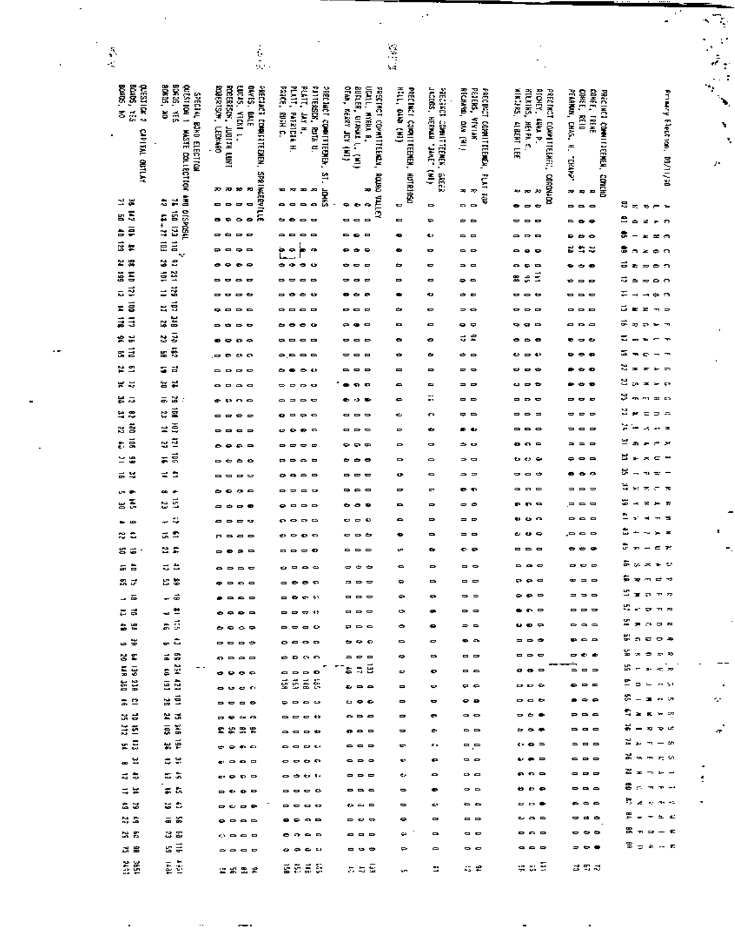|         |                                       |                                                                          |                                                                                                                      |                                                                                                                                                                                                                                                                                                                                                                                                                                                                                        |                                                                                                    |                                                  |                                                          |                                                              |                                                                                              |                                                                                                            |                                                                                              | $\mathbb{Z}_p$<br>۰                |
|---------|---------------------------------------|--------------------------------------------------------------------------|----------------------------------------------------------------------------------------------------------------------|----------------------------------------------------------------------------------------------------------------------------------------------------------------------------------------------------------------------------------------------------------------------------------------------------------------------------------------------------------------------------------------------------------------------------------------------------------------------------------------|----------------------------------------------------------------------------------------------------|--------------------------------------------------|----------------------------------------------------------|--------------------------------------------------------------|----------------------------------------------------------------------------------------------|------------------------------------------------------------------------------------------------------------|----------------------------------------------------------------------------------------------|------------------------------------|
|         |                                       |                                                                          |                                                                                                                      |                                                                                                                                                                                                                                                                                                                                                                                                                                                                                        |                                                                                                    |                                                  |                                                          |                                                              |                                                                                              |                                                                                                            |                                                                                              |                                    |
| Ş,<br>K |                                       |                                                                          | 劇                                                                                                                    |                                                                                                                                                                                                                                                                                                                                                                                                                                                                                        |                                                                                                    | $\frac{1}{2}$ , $\frac{1}{2}$                    |                                                          |                                                              |                                                                                              |                                                                                                            |                                                                                              | $\ddot{\vec{r}}$<br>$\ddot{\cdot}$ |
|         |                                       |                                                                          |                                                                                                                      |                                                                                                                                                                                                                                                                                                                                                                                                                                                                                        |                                                                                                    |                                                  |                                                          |                                                              |                                                                                              |                                                                                                            |                                                                                              | $\sim$ .<br>٠,                     |
|         | Blue 5, 155<br>BOURS, NO<br>מונצזומונ | <b>SCARDS, 200</b><br>BONDS, YES<br>ortstilow 1<br>SPECIAL BOKD ELECTION | UUDS, YICKI L,<br>OLFIS, DALE<br>PRECIADI COMPILITEDIEN, SPAINGERVILLE<br><b>ANGRISTS</b><br>ROBERTSCH, JUDITAL LURT | FROB, RUGH C.<br>PLATE,<br>PLATE, JAN H.<br><b>PATTERSON, ROTH U.</b><br><b>PRECIACT COMMITTEEMEN.</b>                                                                                                                                                                                                                                                                                                                                                                                 | OEAN, KERRY JEY (NI)<br><b>BURLER, OTAWAL L. (MI)</b><br>UCALL, MYRHA B.<br>FREE INCT COMMITTEREN, | HILL, OLN (HI)<br>PRECINCT CORNITEENER, HUTRORSO | THE THERM HERMAN SERVICE<br>PRECISED COMMITTEENER, GREEK | RECHARD, DUA [91]<br>PETERS, VIVIAN<br>FRECINGT COMMITTEEMS, | <b>AIRTING, ALBERT LEE</b><br>KILLINS, HEIR C.<br>ALCHEY,<br>PRECINCT COMPLITELARI, CORDA-DO | CONEE, TRENE<br>CUNEE, REIO<br>PEARNUM, CHAS. H.<br>PRECINCI COMMITTEMEN, CONCHO                           | Friening Election,                                                                           |                                    |
|         |                                       |                                                                          |                                                                                                                      | H VEJLETN                                                                                                                                                                                                                                                                                                                                                                                                                                                                              |                                                                                                    |                                                  |                                                          |                                                              | LENE P.                                                                                      |                                                                                                            |                                                                                              | ъ                                  |
|         | CAMPINE OUTLAN                        | <b>MASTE COLLECTION AND OFSPOSIL</b>                                     | <b>CERNARD</b>                                                                                                       |                                                                                                                                                                                                                                                                                                                                                                                                                                                                                        |                                                                                                    |                                                  |                                                          |                                                              |                                                                                              |                                                                                                            |                                                                                              | ٦                                  |
|         |                                       |                                                                          |                                                                                                                      |                                                                                                                                                                                                                                                                                                                                                                                                                                                                                        |                                                                                                    |                                                  |                                                          |                                                              |                                                                                              | external                                                                                                   |                                                                                              | y.                                 |
|         |                                       |                                                                          |                                                                                                                      | šī.                                                                                                                                                                                                                                                                                                                                                                                                                                                                                    |                                                                                                    |                                                  | ê                                                        |                                                              |                                                                                              |                                                                                                            | pe/il/60                                                                                     |                                    |
|         | ≌ ⊯                                   |                                                                          | 20 20 30<br>P.                                                                                                       | Ð<br>H<br>æ<br>i<br>Est<br>ख                                                                                                                                                                                                                                                                                                                                                                                                                                                           | Ŧ                                                                                                  |                                                  |                                                          | <b>AGE IT'S</b><br>美女                                        | 20, 20<br>۰,                                                                                 | 39 39<br>E                                                                                                 |                                                                                              |                                    |
|         | 5<br>땀                                | ř<br>4                                                                   | Ξ<br>. .<br>e                                                                                                        | . .<br>- -                                                                                                                                                                                                                                                                                                                                                                                                                                                                             | <b>ROUND TALLEY</b><br>٠<br>G,<br>٠                                                                | e                                                | $\Rightarrow$                                            | --                                                           | $\overline{\phantom{0}}$<br>٠                                                                | $\Rightarrow$ $\Rightarrow$<br>$\bullet$                                                                   | s<br>$\equiv$<br>$\mathbf{v}$ $\mathbf{r}$<br>ı.<br>e                                        |                                    |
|         | ē<br>흘                                | <b>DLL CZI USL</b><br>11-27-103                                          | $\bullet$<br>۰<br>- -<br>$\blacksquare$<br>$\overline{a}$                                                            | $- -$<br>$\bullet$<br>--<br>$\bullet$<br>$\blacksquare$                                                                                                                                                                                                                                                                                                                                                                                                                                | . .<br>$\blacksquare$<br>$\blacksquare$                                                            | Ξ<br>۰                                           | ٠<br>42                                                  | 6 6<br>- -                                                   | 0<br>$\Rightarrow$<br>Ξ<br>P                                                                 | $\blacksquare$<br>۰<br>∍                                                                                   | z D<br>٠<br>×.<br>÷<br>上至市                                                                   |                                    |
|         | ផ្ច<br>×                              |                                                                          | . .                                                                                                                  | ٠<br>œ<br>۰<br>∍                                                                                                                                                                                                                                                                                                                                                                                                                                                                       | ₽<br>$\blacksquare$                                                                                | ٠                                                | o                                                        | - -                                                          | $\bullet$<br>Ð                                                                               | ₩<br>Ľ<br>≈                                                                                                | з<br>a.<br>2.5.0                                                                             |                                    |
|         | r                                     | v<br>ä<br>€                                                              | $\bullet$                                                                                                            | ٠<br>۰<br>٠<br>ده                                                                                                                                                                                                                                                                                                                                                                                                                                                                      | ÷<br>$\blacksquare$<br>-                                                                           | ᇰ                                                | $\mathbf{\Xi}$                                           | - -                                                          | o<br>$\blacksquare$                                                                          | ٠                                                                                                          | ᇹ<br>Ł<br>$\frac{1}{2}$                                                                      |                                    |
|         | <b>SS N10</b><br>ä                    | ă<br>ş                                                                   | $\bullet$                                                                                                            | . .<br>--                                                                                                                                                                                                                                                                                                                                                                                                                                                                              | $\blacksquare$<br>o                                                                                | ٠                                                | $\blacksquare$                                           | ہ ج                                                          | Ξ<br>÷<br>霊                                                                                  | $\mathbf{r}$                                                                                               | ಸ<br>$\sim$ $\sim$<br>$\Rightarrow$<br>$\overline{ }$                                        |                                    |
|         | ¥<br>ᢑ                                | ä<br>≐                                                                   | $\bullet$<br>٠                                                                                                       | ده<br>٠                                                                                                                                                                                                                                                                                                                                                                                                                                                                                |                                                                                                    |                                                  | ۰                                                        | . .                                                          | $\bullet$<br>$\mathbf \bullet$                                                               |                                                                                                            | ₿<br>C.                                                                                      |                                    |
|         | ā<br>z<br>ã                           | $\vec{5}$<br>z<br>Ĕ                                                      | $\blacksquare$<br>$\rightarrow$ $\rightarrow$                                                                        | $\blacksquare$                                                                                                                                                                                                                                                                                                                                                                                                                                                                         | $\blacksquare$                                                                                     | ᇰ                                                | ٠                                                        |                                                              | $\Rightarrow$                                                                                |                                                                                                            | ದ<br>æ                                                                                       |                                    |
|         | ã                                     | ¥<br>$\ddot{v}$                                                          | ٠<br>$\rightarrow$ $\rightarrow$                                                                                     | $\bullet$<br>۰                                                                                                                                                                                                                                                                                                                                                                                                                                                                         | $\bullet$<br>$\blacksquare$                                                                        | ٠                                                | Ξ                                                        | . .<br>5 £                                                   | Ð<br>$\blacksquare$                                                                          | 8<br>$\epsilon$<br>c                                                                                       | ᇹ<br>$\overline{\phantom{a}}$<br>ᆂ<br>$\Rightarrow$                                          |                                    |
|         | ⋭<br>분<br>$\vec{a}$<br>œ.             | s<br>g ÷                                                                 | 8 Q<br>$\bullet$<br>ം പ                                                                                              | o<br>$\blacksquare$<br><b></b>                                                                                                                                                                                                                                                                                                                                                                                                                                                         | $\blacksquare$<br>$\blacksquare$<br>0                                                              | ٠<br>٠                                           | ٠<br>٠                                                   | ėв                                                           | ₿<br>$\blacksquare$<br>$\bullet$                                                             | e                                                                                                          | =<br>$\mathbf{r}$<br>ຘ<br>$\overline{\phantom{a}}$<br>e                                      |                                    |
|         | ្គ ឌ                                  | 등 금                                                                      | 0<br>$\Rightarrow$<br>$\blacksquare$<br>$\bullet$<br>▭                                                               | -62                                                                                                                                                                                                                                                                                                                                                                                                                                                                                    | ▭<br>$\blacksquare$<br>e                                                                           | $\blacksquare$                                   | $\Rightarrow$                                            | - -                                                          | ÷                                                                                            |                                                                                                            | z<br>$\blacksquare$<br>$\overline{\phantom{a}}$<br>$\overline{\phantom{a}}$<br>$\Rightarrow$ |                                    |
|         | ₩.                                    | ិដ<br>ស                                                                  | $\blacksquare$<br>$\blacksquare$<br>$\bullet$                                                                        | P<br>Ð                                                                                                                                                                                                                                                                                                                                                                                                                                                                                 | . .                                                                                                | $\mathbf{D}$                                     | $\blacksquare$                                           |                                                              | Ð<br>$\overline{\phantom{a}}$                                                                |                                                                                                            | z<br>ç۰<br>$\equiv$<br>٠                                                                     |                                    |
|         | 분류                                    | ಹ ಜಿ                                                                     | $\sim$ $\sim$<br><b>ES</b>                                                                                           | $\Rightarrow$                                                                                                                                                                                                                                                                                                                                                                                                                                                                          | ٠<br>۰э<br>. .                                                                                     | e                                                | Ξ,                                                       | --                                                           | 0<br>$\sim$                                                                                  | P                                                                                                          | ٧<br>m es<br>m                                                                               |                                    |
|         | ч<br>÷,                               | ង ឌ                                                                      | . .<br>$\bullet$ $\bullet$                                                                                           | e e<br>-                                                                                                                                                                                                                                                                                                                                                                                                                                                                               | $\blacksquare$<br>$\Rightarrow$ $\Rightarrow$                                                      | ت                                                | £.                                                       | ᇢᆯ                                                           | $\Rightarrow$<br>$\equiv$<br>O                                                               | $\blacksquare$<br>$\Rightarrow$<br>$\blacksquare$                                                          | 2<br>$\Rightarrow$ $\pm$<br>Ξ                                                                |                                    |
|         | zŠ                                    | ≌ē                                                                       | $\bullet$ $\bullet$<br>$\blacksquare$                                                                                | $\bullet$<br>C                                                                                                                                                                                                                                                                                                                                                                                                                                                                         | $\blacksquare$<br>$\Rightarrow$ $\Rightarrow$                                                      | $\Rightarrow$                                    | ٠                                                        | $\bullet$                                                    | $\blacksquare$<br>$\blacksquare$                                                             | $\equiv$<br>$\blacksquare$<br>$\blacksquare$                                                               | ፞፞፝፝<br><br>×.                                                                               |                                    |
|         | $\vec{a}$<br>ŧ.                       | ម្មដ្                                                                    | ÷.<br>$\blacksquare$<br>$\bullet$                                                                                    | $\equiv$                                                                                                                                                                                                                                                                                                                                                                                                                                                                               | ۰<br>--                                                                                            | $\Rightarrow$                                    | $\mathbf{\Xi}$                                           | ⇒ ∾                                                          | $\blacksquare$<br>$\bullet$ $\bullet$                                                        | ∍<br>$\Rightarrow$<br>$\blacksquare$                                                                       | ᅛ<br>÷.<br>÷<br>-24                                                                          |                                    |
|         | ÷<br>≍                                | r É                                                                      | $\bullet$ $\bullet$<br>- -                                                                                           | 8 S<br>e e                                                                                                                                                                                                                                                                                                                                                                                                                                                                             | ۰<br>$\bullet$ $\bullet$                                                                           | $\blacksquare$                                   | $\Rightarrow$                                            | $\Rightarrow$ $\Rightarrow$                                  | $\epsilon$<br>セッ                                                                             | $\blacksquare$<br>0<br>$\bullet$                                                                           | ۳<br>$\epsilon$<br>÷<br>5<br>$=$<br>٦r                                                       |                                    |
|         | 5 Y                                   | ≡ ±                                                                      | --<br>$\overline{a}$<br><b>SP</b>                                                                                    | -<br>- 0                                                                                                                                                                                                                                                                                                                                                                                                                                                                               | ---<br>⋼<br>. .                                                                                    | ۰<br>$\overline{a}$                              | ۰<br>E                                                   | - -<br>e e                                                   | $\blacksquare$<br>¢<br>E                                                                     | o<br>$\Rightarrow$                                                                                         | ă<br>ತನ ಕ<br>₩.                                                                              |                                    |
|         | وي س<br>Ŧ,<br>×                       | . .<br>國<br>е                                                            | <b>CR</b><br>$\blacksquare$<br>$\bullet$<br>- -<br>a 6                                                               | $\Rightarrow$<br>$\blacksquare$<br>$\blacksquare$                                                                                                                                                                                                                                                                                                                                                                                                                                      | 8<br>۰<br>Ð                                                                                        |                                                  | $\Rightarrow$                                            | - -                                                          | D                                                                                            | $\qquad \qquad =$<br>$\Rightarrow$<br>$\blacksquare$                                                       | ҍ<br>* *<br>$\overline{\mathbf{r}}$                                                          |                                    |
|         | <b>LD</b>                             | ÷,<br>t                                                                  | <b>KS</b><br>$\Rightarrow$<br>-                                                                                      | . .                                                                                                                                                                                                                                                                                                                                                                                                                                                                                    | ---                                                                                                | ٠                                                | $\Rightarrow$                                            | $=$ $=$                                                      | O<br>o                                                                                       | $\blacksquare$<br>▭<br>-                                                                                   | Þ<br>$\mathbf{r}$<br>Б                                                                       |                                    |
|         | ÷<br>æ.                               | ದ Ω                                                                      | $\bullet$<br>n o<br>0                                                                                                | ယေးမစားမ                                                                                                                                                                                                                                                                                                                                                                                                                                                                               | ---                                                                                                | ۰                                                | Ξ                                                        | $=$ $\blacksquare$                                           | .                                                                                            | ,= = =                                                                                                     | ۵<br><b>-</b><br>- -                                                                         |                                    |
|         | $s = -$                               | 25                                                                       | $\rightarrow$ $\rightarrow$ $\rightarrow$ $\rightarrow$                                                              | ----                                                                                                                                                                                                                                                                                                                                                                                                                                                                                   | $\sim$ $\sim$ $\sim$                                                                               | اس                                               | ٠                                                        | $^{\circ}$                                                   | ---                                                                                          | .                                                                                                          | ទីភ្នាយត                                                                                     |                                    |
|         | a à                                   | ನ ದಿ                                                                     | 0000                                                                                                                 | $\alpha$ = $\alpha$ $\alpha$                                                                                                                                                                                                                                                                                                                                                                                                                                                           | $- - -$                                                                                            | $\bullet$                                        | $\mathbf{r}$                                             | $=$ $-$                                                      | $\sim$ $\sim$                                                                                | ---                                                                                                        | 高氯苯并酯                                                                                        |                                    |
|         | 品 ご                                   | 出售                                                                       | $\bullet$ $\circ$ $\circ$ $\circ$                                                                                    | $-0.5.5$                                                                                                                                                                                                                                                                                                                                                                                                                                                                               | $\Rightarrow$ $\Rightarrow$ $\Rightarrow$                                                          | $\Rightarrow$                                    | $\blacksquare$                                           | $\blacksquare$                                               | P P Q Q                                                                                      | $\bullet$ $\bullet$ $\bullet$                                                                              | $5 - 7 - 7$                                                                                  |                                    |
|         | - 5                                   | - ≑                                                                      | $\bullet$ $\bullet$ $\bullet$ $\bullet$                                                                              | ---                                                                                                                                                                                                                                                                                                                                                                                                                                                                                    | $\blacksquare$                                                                                     | $\bullet$                                        | $\bullet$                                                | $\Rightarrow$ $\Rightarrow$                                  | $\bullet$ $\bullet$ $\circ$                                                                  | $= 7.7$                                                                                                    | Saare<br>មីទទ្យន                                                                             |                                    |
|         | 도 로                                   | $\overline{a}$ =<br>ននី                                                  | $\bullet \bullet \bullet \bullet$                                                                                    | $\begin{array}{cccccccccccccc} \multicolumn{4}{c}{} & \multicolumn{4}{c}{} & \multicolumn{4}{c}{} & \multicolumn{4}{c}{} & \multicolumn{4}{c}{} & \multicolumn{4}{c}{} & \multicolumn{4}{c}{} & \multicolumn{4}{c}{} & \multicolumn{4}{c}{} & \multicolumn{4}{c}{} & \multicolumn{4}{c}{} & \multicolumn{4}{c}{} & \multicolumn{4}{c}{} & \multicolumn{4}{c}{} & \multicolumn{4}{c}{} & \multicolumn{4}{c}{} & \multicolumn{4}{c}{} & \multicolumn{4}{c}{} & \multicolumn{4}{c}{} & \$ | $\blacksquare$                                                                                     | ۰<br>٠                                           | ۰<br>$\bullet$                                           | $\sim$ $\sim$<br>$= 0$                                       | $\bullet$ o $\circ$<br>.                                                                     | $\rightarrow$ $\rightarrow$ $\rightarrow$<br>$\sim$ $\sim$ $\sim$                                          | ដឹមត្រគ                                                                                      |                                    |
|         | 58<br>ື້                              | ಕಾರಿ                                                                     | $\begin{array}{cccccccccccccc} \bullet & \bullet & \bullet & \bullet & \bullet \end{array}$<br>----                  | $\begin{array}{c} \bullet \circ \circ \circ \circ \end{array}$<br>0.000                                                                                                                                                                                                                                                                                                                                                                                                                | .<br>ဗမဂ                                                                                           | $\blacksquare$                                   | ۰                                                        | . .                                                          | $= 0$                                                                                        | $P = P$                                                                                                    | ម៉ឺតប្រទ                                                                                     |                                    |
|         | 3 C                                   | = <b>p</b>                                                               | 00000                                                                                                                | .                                                                                                                                                                                                                                                                                                                                                                                                                                                                                      | $= 0.0$                                                                                            | ٠                                                | $\blacksquare$                                           | - -                                                          | ---                                                                                          | ---                                                                                                        | <b>Wx 8 8 9</b>                                                                              |                                    |
|         | 5 ş                                   | εř<br>$\overline{\phantom{a}}$                                           | 0.000                                                                                                                | $\overline{a}$ $\overline{b}$ $\overline{c}$ $\overline{c}$                                                                                                                                                                                                                                                                                                                                                                                                                            | 55B                                                                                                | అ                                                | $\bullet$                                                | - -                                                          | $\sigma$ $\sigma$ $\sim$                                                                     |                                                                                                            | ង - - - - -                                                                                  |                                    |
|         | ä                                     | e à                                                                      | $\bullet$ $\bullet$ $\bullet$ $\circ$                                                                                | s 6 2 6                                                                                                                                                                                                                                                                                                                                                                                                                                                                                | $\mathbf{L}$ $\mathbf{R}$ $\mathbf{R}$                                                             | $\qquad \qquad \blacksquare$                     | w.                                                       | 모두                                                           | .                                                                                            | $\bullet$ $\bullet$ $\bullet$                                                                              | المواط التالي التلا                                                                          | $\blacksquare$                     |
|         | 통호                                    | a É                                                                      | $\begin{array}{c} \bullet \bullet \bullet \bullet \bullet \end{array}$                                               | 00000                                                                                                                                                                                                                                                                                                                                                                                                                                                                                  | $L \bullet C$                                                                                      | $\Rightarrow$                                    | o                                                        | . .                                                          | $\bullet$ $\bullet$                                                                          | $\bullet$ $\circ$ $\circ$                                                                                  | ង = = - -                                                                                    | ÷.                                 |
|         | x e                                   | 불교                                                                       | ---                                                                                                                  | $D = C$                                                                                                                                                                                                                                                                                                                                                                                                                                                                                | $\sim$ $\sim$ $\sim$                                                                               | $\Rightarrow$                                    |                                                          | $\bullet$                                                    | $- - -$                                                                                      | $P = P$                                                                                                    | ដឹងនាក់គា<br><b>동 - ㅎ ㅎ ㅎ</b>                                                                |                                    |
|         | ăž                                    | 哀慕                                                                       | 空禁思想                                                                                                                 | ----                                                                                                                                                                                                                                                                                                                                                                                                                                                                                   | $P^{\alpha}$                                                                                       | $\mathbf{\Xi}$                                   | ٠                                                        | $\sim$ $\sim$                                                | .<br>$\mathbf{c} \cdot \mathbf{c} =$                                                         | $\bullet$ $\bullet$ $\bullet$<br>$= 0 0 0$                                                                 | 第六六一的                                                                                        | $\vec{x}$                          |
|         | xΞ<br>゠                               | 놓호<br>o e                                                                | $\Rightarrow$ $\Rightarrow$ $\Rightarrow$ $\Rightarrow$<br>$\bullet$ $\bullet$ $\bullet$ $\bullet$                   | ----<br>$- - - -$                                                                                                                                                                                                                                                                                                                                                                                                                                                                      | $\sim$ $\sim$ $\sim$<br>$\sim$ $\sim$ $\sim$                                                       | $\blacksquare$<br>W.                             | <br>€.                                                   | د ٍ د<br>$\sim$ $\sim$                                       |                                                                                              | $\begin{array}{c} \bullet \end{array} \bullet \end{array} \begin{array}{c} \bullet \\ \bullet \end{array}$ | 第六十六回                                                                                        |                                    |
|         | $\frac{1}{2}$                         | 定応                                                                       | 9 5 7                                                                                                                | .                                                                                                                                                                                                                                                                                                                                                                                                                                                                                      | ---                                                                                                | e۶                                               | 8                                                        | $\sim$ $\sim$                                                | 0.02                                                                                         | ---                                                                                                        | ងទែកទម                                                                                       | ٠                                  |
|         | $\equiv$ $\approx$                    | 雲森                                                                       | $-0.00$                                                                                                              | $\mathbf{0}$ $\mathbf{0}$ $\mathbf{0}$ $\mathbf{0}$                                                                                                                                                                                                                                                                                                                                                                                                                                    | P P Q Q                                                                                            | $\Rightarrow$                                    | $\bullet$                                                | $\bullet$ $\bullet$                                          | .                                                                                            | $\rightarrow$ $\rightarrow$ $\rightarrow$                                                                  | 8.                                                                                           |                                    |
|         | ಡಿ ಆ                                  | ಆ ಲ                                                                      | $-0$ $-0$                                                                                                            | ----                                                                                                                                                                                                                                                                                                                                                                                                                                                                                   | കലട                                                                                                | $\Rightarrow$                                    | c,                                                       | $\sim$ $\sim$                                                | ம ஈ ●                                                                                        | $\bullet$ $\circ$ $\bullet$                                                                                | 昂 医心病 化                                                                                      | $\blacksquare$                     |
|         | 31 S                                  | a 2                                                                      | $\bullet$ $\bullet$ $\bullet$ $\bullet$                                                                              | 0.9.9.9                                                                                                                                                                                                                                                                                                                                                                                                                                                                                | ---                                                                                                | ۰                                                | $\Rightarrow$                                            | - -                                                          | .                                                                                            | $  -$                                                                                                      | 男女子母的                                                                                        |                                    |
|         | 62 E                                  | 23 Z                                                                     | $\alpha = -1$                                                                                                        | 0.995                                                                                                                                                                                                                                                                                                                                                                                                                                                                                  | $\blacksquare$ $\blacksquare$ $\blacksquare$                                                       | دټ                                               | $\blacksquare$                                           | $= 5$                                                        | .                                                                                            | $- - -$                                                                                                    | $R - P - R$<br><sup>မွာ</sup> း ⇒ န − ဧ                                                      |                                    |
|         | <b>28</b>                             | sã                                                                       | .                                                                                                                    | ဖေခမယ                                                                                                                                                                                                                                                                                                                                                                                                                                                                                  | ---                                                                                                | $\Rightarrow$                                    | $\Rightarrow$                                            | --                                                           | $\bullet$ $\bullet$ $\bullet$                                                                | $\Rightarrow$ $\leftrightarrow$ $\bullet$                                                                  |                                                                                              |                                    |
|         | ãĕ                                    | 電話                                                                       | 空影医学                                                                                                                 | ន្ននួន                                                                                                                                                                                                                                                                                                                                                                                                                                                                                 | 医出圈                                                                                                | ym.                                              | н.                                                       | a e                                                          | s a B                                                                                        | ಚಿತ್ರ                                                                                                      |                                                                                              |                                    |

 $\omega_{\rm c}$ 

 $\cdot$ 

 $\mathbb{Z}^2$ 

 $\overline{\phantom{a}}$ 

 $\ddot{\phantom{0}}$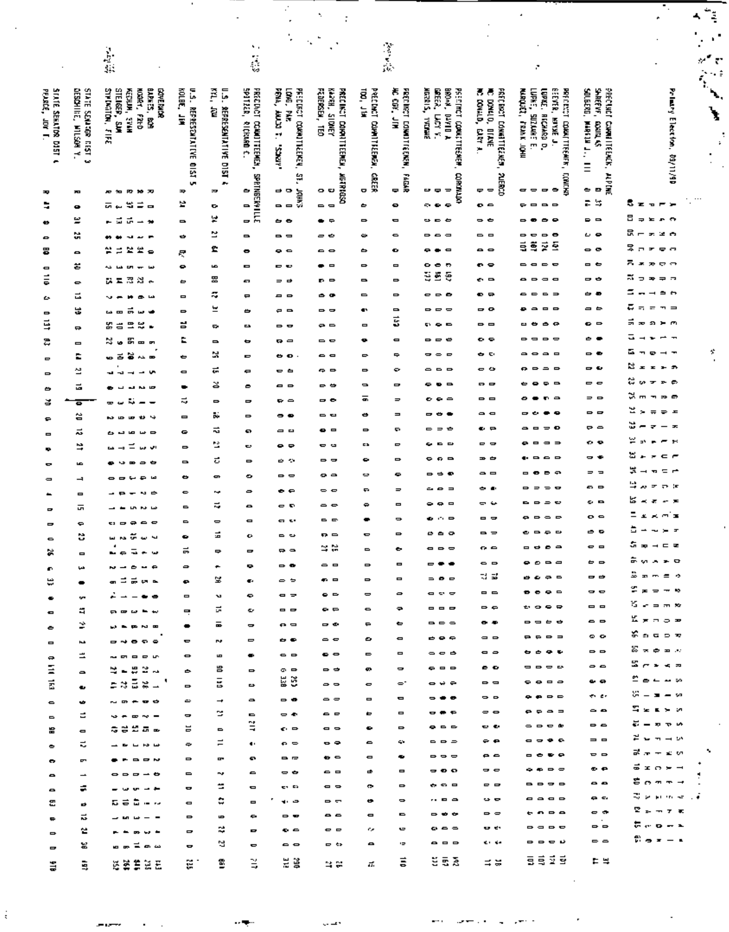|                                         |                                                    |                                                                                                                                                                                                                                                                                                                                                                                                                                                                                        |                                                 |                                        |                                               |                                                     |                                                                 |                              |                                    |                                                           |                                                                    |                                                                                                                         |                                              |                                                                                                    | the control.<br>The control of the control of the control of the control of the control of the control of the control of the c<br>$\sim$ 100 $\mu$ m $^{-1}$ |
|-----------------------------------------|----------------------------------------------------|----------------------------------------------------------------------------------------------------------------------------------------------------------------------------------------------------------------------------------------------------------------------------------------------------------------------------------------------------------------------------------------------------------------------------------------------------------------------------------------|-------------------------------------------------|----------------------------------------|-----------------------------------------------|-----------------------------------------------------|-----------------------------------------------------------------|------------------------------|------------------------------------|-----------------------------------------------------------|--------------------------------------------------------------------|-------------------------------------------------------------------------------------------------------------------------|----------------------------------------------|----------------------------------------------------------------------------------------------------|--------------------------------------------------------------------------------------------------------------------------------------------------------------|
|                                         |                                                    |                                                                                                                                                                                                                                                                                                                                                                                                                                                                                        |                                                 |                                        | ٠.                                            |                                                     |                                                                 |                              |                                    |                                                           |                                                                    |                                                                                                                         |                                              |                                                                                                    | ٠                                                                                                                                                            |
|                                         |                                                    | $\frac{1}{2}$                                                                                                                                                                                                                                                                                                                                                                                                                                                                          |                                                 |                                        | i.                                            |                                                     |                                                                 |                              | 学会                                 |                                                           |                                                                    |                                                                                                                         |                                              |                                                                                                    | $\mathscr{U}^\bullet$<br>$\overline{\mathfrak{c}}$                                                                                                           |
|                                         |                                                    |                                                                                                                                                                                                                                                                                                                                                                                                                                                                                        |                                                 |                                        |                                               |                                                     |                                                                 |                              |                                    |                                                           |                                                                    | r.                                                                                                                      |                                              |                                                                                                    |                                                                                                                                                              |
|                                         |                                                    | <b>BARKES, BOM</b><br>NOORY, FILED<br><b>COVE PACK</b>                                                                                                                                                                                                                                                                                                                                                                                                                                 |                                                 | Ã                                      |                                               |                                                     |                                                                 | 100, J14                     |                                    | BROW, DAYID A<br>GREER, LACY Y.                           | ē                                                                  |                                                                                                                         | SAREEVE.                                     |                                                                                                    | $\mathbb{Z}_2$                                                                                                                                               |
| STATE SERATION DIST 4<br>PEARCE, JOY T. | DESCHILE, WILSON Y.<br><b>C 1S11 40:107S 11V1S</b> | STRINGER, FIFE<br>STEIGEP, SUM<br>KENUM, SPAN                                                                                                                                                                                                                                                                                                                                                                                                                                          | KOLBE, JIM<br><b>U.S. REPRESCATATIVE OIST 5</b> | <b>U.S. REPRESENTATIVE DIST 4</b><br>ē | spatzak, eldekan d.<br>PRECINCT COMMITTEEMEN. | FENA, ANUM T.<br>LONG, PAR<br>PREDUCT CORNITIEEREN, | FEDERAL, TEO<br><b>ABACTS</b> PREA<br>PAECING IN COMPITTEEMENT, | PRECINCT COMMITTEENS,        | 海 震 三国<br>PRECIDENT CONNITES ENSIN | MGRANIS, YYGUME<br>PREDINCT COULDTEENER                   | FREE BROT CONNECTES MEM.<br>MC COVALD, CARY A.<br>DOMAL D., BILANE | LUPRE, SUZANE<br><b>BEEVER, MINE J.</b><br>MARQUEZ, FRANK JOHN<br>LUPAE, RECHARD D.<br>PRECENT COMMETTEENIER            | SOLECRO, MARIN J.,<br>PRECISET CHARLITEENCK. | Primary Election, 09/11/90                                                                         | $\mathbf{v}$                                                                                                                                                 |
|                                         |                                                    |                                                                                                                                                                                                                                                                                                                                                                                                                                                                                        |                                                 |                                        |                                               |                                                     |                                                                 |                              |                                    |                                                           |                                                                    |                                                                                                                         | Count of                                     |                                                                                                    |                                                                                                                                                              |
|                                         |                                                    |                                                                                                                                                                                                                                                                                                                                                                                                                                                                                        |                                                 |                                        |                                               | All Co.                                             |                                                                 |                              |                                    |                                                           |                                                                    | ŗ                                                                                                                       |                                              |                                                                                                    | ÷                                                                                                                                                            |
|                                         |                                                    |                                                                                                                                                                                                                                                                                                                                                                                                                                                                                        |                                                 |                                        |                                               |                                                     |                                                                 |                              |                                    |                                                           |                                                                    |                                                                                                                         | $\equiv$                                     |                                                                                                    |                                                                                                                                                              |
| ᆓ                                       | æ                                                  | <b>P2 50 70</b><br>. .                                                                                                                                                                                                                                                                                                                                                                                                                                                                 | ≖                                               | æ                                      | O D V<br>31114838NJ845                        | ă                                                   | <b>MURRISO</b><br>Ð<br>۰                                        | SCEEK<br>۰                   | <b>FAGAR</b><br>٠                  | <b>CORDINAL</b><br>$\Rightarrow$<br>- -                   | <b>ALERCO</b><br>호호                                                | CONTAST<br>$\bullet$<br>$\qquad \qquad \blacksquare$<br><del>-</del>                                                    | andan<br>٠<br>$\blacksquare$                 |                                                                                                    |                                                                                                                                                              |
| ٥                                       | ۰                                                  | 電車<br>ᇚ<br>ىدە<br>$\blacksquare$                                                                                                                                                                                                                                                                                                                                                                                                                                                       | e                                               | ۰                                      |                                               | oor<br>Do                                           | $\blacksquare$                                                  | ٠                            | ۰                                  | ç.<br>$\bullet$<br>٠                                      | $\bullet$ $\bullet$                                                | $\blacksquare$<br>$\blacksquare$<br>⋼                                                                                   | 笨<br>÷                                       | 5 ट<br>m x<br>P                                                                                    |                                                                                                                                                              |
| Ð                                       | ≝                                                  | $\vec{r}$ $\rightarrow$ $\rightarrow$<br>- 5                                                                                                                                                                                                                                                                                                                                                                                                                                           | $\blacksquare$                                  | ¥                                      |                                               | . .                                                 | $\bullet$ $\circ$                                               | ⋼                            | 0                                  | $\bullet$ $\bullet$ $\bullet$                             | $ -$                                                               | $\bullet$<br>D                                                                                                          | $\blacksquare$<br>۰                          | Β<br><b>EP 5</b><br>$\Rightarrow$                                                                  |                                                                                                                                                              |
|                                         | ű                                                  | $\bullet$<br>÷<br>٠                                                                                                                                                                                                                                                                                                                                                                                                                                                                    | ٠                                               | జ                                      | $\blacksquare$                                | - -                                                 | ల ల                                                             | ۰.                           | ٠                                  | .                                                         | - -                                                                | $\bullet$<br>٠<br>0<br>$\Rightarrow$                                                                                    | ေမ                                           | 믅<br>学者<br>œ.                                                                                      |                                                                                                                                                              |
| 훕                                       | $\qquad \qquad \blacksquare$                       | 言葉堂<br>≃<br>$\bullet$                                                                                                                                                                                                                                                                                                                                                                                                                                                                  | 尽                                               | £                                      | ۰                                             | $\bullet$ $\bullet$                                 | $\bullet$ $\bullet$                                             | ٠                            | ۰                                  | $\blacksquare$<br>. .                                     | $\bullet$ $\bullet$                                                | ã<br>ŝ<br>Ř<br>호                                                                                                        | $\bullet$                                    | 旱<br>$\Box$<br>99<br>$\overline{r}$                                                                |                                                                                                                                                              |
| o<br>ã                                  | z                                                  | دە<br>$100 - 100$<br>خما<br>لعا                                                                                                                                                                                                                                                                                                                                                                                                                                                        | ۰                                               | b.<br>岊                                | 0                                             | - -                                                 | - -                                                             | $\Rightarrow$                | Ξ                                  | $\bullet$<br>Ð<br>ğ<br>š<br>Ş                             | e o                                                                | $\Rightarrow$<br>$\blacksquare$<br>$\Rightarrow$<br>$\blacksquare$<br>$\Rightarrow$<br>$\blacksquare$<br>$\blacksquare$ | ᆷ<br>- -                                     | Ξ.<br>೯೧<br>$\overline{\phantom{a}}$<br>$\mathbf{r}$<br>ж.<br>두 교<br>∍<br>$\overline{\phantom{a}}$ |                                                                                                                                                              |
|                                         | ۰<br>급                                             | 沼泽人<br>교회<br>Ŀ                                                                                                                                                                                                                                                                                                                                                                                                                                                                         | ٠<br>$\blacksquare$                             | ≈                                      | o<br>$\mathbf{r}$                             | = =<br>. .                                          | p ⊟<br>50                                                       | $\blacksquare$<br>▭          | $\Rightarrow$<br>$\Rightarrow$     | - - <b>-</b>                                              | ິ<br>ຄ≂                                                            | $\blacksquare$<br>$\Rightarrow$<br>$\Rightarrow$                                                                        | ᇰ                                            | $\Rightarrow$ $\leftrightarrow$                                                                    |                                                                                                                                                              |
| دع<br>٠                                 | ÷.                                                 | ÷<br>v<br>×<br>ま<br>$\mathbf{u}$<br>w<br>فعا                                                                                                                                                                                                                                                                                                                                                                                                                                           | ۰                                               | 뵤                                      | ඁ                                             | $\epsilon$ $\epsilon$                               | --                                                              | ٠                            | $\blacksquare$                     | $\equiv$<br>P<br>$\Rightarrow$                            | - 0                                                                | --<br>$\Rightarrow$                                                                                                     | a 6                                          | ឝ<br>$=$<br>$\equiv$<br>$\blacksquare$                                                             |                                                                                                                                                              |
| ¥                                       | $\Rightarrow$                                      | Y,<br>゠<br>×<br>吉                                                                                                                                                                                                                                                                                                                                                                                                                                                                      | g                                               | ç,                                     | <b>DA</b>                                     | - -                                                 | $\bullet$ $\bullet$                                             | $\blacksquare$               | 5                                  | .                                                         | - -                                                                | ٠<br>٠<br>G                                                                                                             | . .                                          | ÷<br>רה ⊨נת<br>$\overline{\phantom{a}}$                                                            |                                                                                                                                                              |
| ዴ                                       | $\blacksquare$                                     | 岊<br>≈.<br>ø.<br>--                                                                                                                                                                                                                                                                                                                                                                                                                                                                    | E                                               | $\blacksquare$                         | ٠                                             | $\mathbf{v}$                                        | $\sim$ $\sim$                                                   | ۰                            | $\blacksquare$                     | ---                                                       | . .                                                                | $\blacksquare$<br>$\Rightarrow$<br>$\Rightarrow$                                                                        | ٠<br>$\bullet$                               | ↴<br>$\overline{\phantom{0}}$<br>$\mathbf{r}$                                                      |                                                                                                                                                              |
| Ξ                                       | E                                                  | ๑๘๖∾๑                                                                                                                                                                                                                                                                                                                                                                                                                                                                                  | ٠                                               | ×                                      | $\blacksquare$                                | . .                                                 | . .                                                             | $\Rightarrow$                | ÷                                  | ,<br>$\Rightarrow$<br>$\blacksquare$                      | . .                                                                | $\bullet$<br>$\blacksquare$<br>-<br>$\bullet$                                                                           | $\Rightarrow$ $\bullet$                      | ᇈ<br>$\overline{\phantom{a}}$<br>$\mathbf{r}$                                                      | Ÿ,                                                                                                                                                           |
| $\blacksquare$                          | 섬                                                  | v.<br>$\overline{\phantom{a}}$<br>$\overline{\phantom{a}}$<br>ŗ                                                                                                                                                                                                                                                                                                                                                                                                                        | O                                               | 군                                      | e                                             | . .                                                 | e e                                                             | $\blacksquare$               | ۰                                  | -<br>$\blacksquare$<br>$\blacksquare$                     | - ഗ                                                                | $\Rightarrow$<br>$\blacksquare$<br>G<br>-                                                                               | - 0                                          | ×<br>$\mathbf{r}$<br>* *<br>$\blacksquare$<br>ឌ<br>$\bullet$                                       |                                                                                                                                                              |
| ٠                                       | 륩                                                  | L<br>ш,<br>$\mathbf{a}$                                                                                                                                                                                                                                                                                                                                                                                                                                                                | ٠                                               | చ                                      | ۰                                             | $\Box$                                              | - -                                                             | $\bullet$                    | $\blacksquare$                     | $\blacksquare$<br>0<br>.                                  | . .<br>- -                                                         | ٠<br>$\blacksquare$<br>۰                                                                                                | $\Rightarrow$ $\Rightarrow$<br>$= 0$         | <b>SA</b><br>$\mathbf{r}$<br>$\overline{\phantom{a}}$<br>ಜ –<br>20 m<br>$\mathbf{r}$               |                                                                                                                                                              |
| ð                                       | ៑                                                  | $\sim -$<br>÷ ÷                                                                                                                                                                                                                                                                                                                                                                                                                                                                        | ಸ                                               | ٠<br>ō.                                | ᇰ<br>۰                                        | $\bullet$ $\circ$<br>                               | - -<br>--                                                       | ō,<br>٠                      | Ξ<br>$\blacksquare$                | ٠                                                         | a <b>o</b>                                                         | 0                                                                                                                       | - -                                          | 넌<br>×<br>∍<br>ᆂ<br>$\equiv$                                                                       |                                                                                                                                                              |
| ۰                                       | 씁<br>ಸ                                             | دە<br><b>WB</b><br>L<br>Ð<br><b>LO</b><br>$\blacksquare$<br>ш<br>்                                                                                                                                                                                                                                                                                                                                                                                                                     | $\blacksquare$<br>۰                             | ನ                                      | o                                             | <b></b>                                             | . .                                                             | $\Rightarrow$                | ç.                                 | $\Rightarrow$                                             | € ₽                                                                | $\blacksquare$<br>$\Rightarrow$ $\bullet$<br>-                                                                          | $\mathbf{P} \triangleq$                      | ۵<br>-<br>z<br>$\overline{\phantom{m}}$<br>$\overline{\phantom{a}}$                                |                                                                                                                                                              |
|                                         | ₩                                                  | اس سن س<br>÷                                                                                                                                                                                                                                                                                                                                                                                                                                                                           | $\Rightarrow$                                   | Ľ                                      | c                                             | . .                                                 | . .                                                             | E3                           | ۰                                  | --                                                        | - -                                                                | $\blacksquare$<br>$\blacksquare$<br>$\equiv$                                                                            | o e                                          | ⋍<br>-<br>$\mathbf{r}$<br>۵ħ                                                                       |                                                                                                                                                              |
|                                         | b.                                                 | $\Rightarrow$<br>¢<br>÷<br>$\blacksquare$                                                                                                                                                                                                                                                                                                                                                                                                                                              | $\blacksquare$                                  | ಕ                                      | $\Rightarrow$                                 | ن ن                                                 | --                                                              | ۰                            | D                                  | ິດຕ                                                       | <b>38 @</b>                                                        | $\bullet$                                                                                                               | - -                                          | a.<br>$\epsilon$ $\epsilon$<br>$\overline{\phantom{a}}$<br>$\overline{\phantom{0}}$                |                                                                                                                                                              |
|                                         | ⊣                                                  | س ج ب<br>--                                                                                                                                                                                                                                                                                                                                                                                                                                                                            | ٠                                               | œ                                      | ۰                                             | $\Rightarrow$ $\Rightarrow$                         | ິິ                                                              | ⇔                            | ٠                                  | --                                                        | $\sim$ $\Box$                                                      | $\epsilon$                                                                                                              | $=$<br>$\equiv$                              | 늣<br>$=$ $-$<br>Ŧ<br>$\rightarrow$                                                                 |                                                                                                                                                              |
|                                         | $\qquad \qquad \blacksquare$                       | ∾ ⇔                                                                                                                                                                                                                                                                                                                                                                                                                                                                                    | $\bullet$                                       | r.                                     | $\Rightarrow$                                 | $\bullet$ e                                         | $\sim$ $\sim$                                                   | ٠                            | $\Rightarrow$                      | പ ക<br>$\equiv$                                           | . .                                                                | $\Rightarrow$<br>۰                                                                                                      | . .                                          | ц<br>$\overline{\phantom{a}}$<br>赤浜<br>×<br>넒<br>÷.<br>大声<br>$\tilde{\phantom{a}}$                 |                                                                                                                                                              |
| -                                       | ᇚ                                                  | LN.<br><b>NH</b>                                                                                                                                                                                                                                                                                                                                                                                                                                                                       | $\blacksquare$                                  | ≂                                      | 0                                             | оĐ                                                  | --                                                              | ٠                            | Ξ<br>$\Rightarrow$                 | $\bullet$<br>$\Box$<br>$\mathbf{r}$ . $\mathbf{r}$        | ن -<br>- -                                                         | =<br>¢<br>$\blacksquare$<br>$\Rightarrow$<br>$\Rightarrow$                                                              | ິ<br>o e                                     | Ξ<br>கன்க<br>工                                                                                     |                                                                                                                                                              |
|                                         | ٠<br>e                                             | $\bullet$ $\bullet$ $\bullet$<br>. .                                                                                                                                                                                                                                                                                                                                                                                                                                                   | ٠                                               | ٠<br>ä,                                | $\blacksquare$<br>$\bullet$                   | e v<br>- -                                          | --<br>ᄗ                                                         | $\blacksquare$               | ۰                                  | ு உ<br>$\circ$                                            | - -                                                                | $\bullet$ $\bullet$ $\bullet$ $\bullet$                                                                                 | ச உ                                          | ă<br>$\overline{\phantom{a}}$<br>$\sim$ $\sim$ $\pi$                                               |                                                                                                                                                              |
| ×                                       | $\blacksquare$                                     | គ្រងស្រែ<br>Ł<br>-----                                                                                                                                                                                                                                                                                                                                                                                                                                                                 | ٠<br>ᇙ                                          | $\Rightarrow$                          | $\blacksquare$                                | $\mathbf{R}$                                        | ≃≈                                                              | $\blacksquare$               | ٠                                  | $\qquad \qquad \bullet \qquad \bullet$                    | $\sim$ $\sim$                                                      | ----                                                                                                                    | $\bullet$ $\bullet$                          | 유피나드로                                                                                              |                                                                                                                                                              |
| O.                                      | ڪيا                                                | $\omega = \omega = \omega$                                                                                                                                                                                                                                                                                                                                                                                                                                                             | $\Rightarrow$                                   | ۰.                                     | ۰                                             | $\sim$ $\sim$                                       | $\sim$ $\sim$                                                   | $\Rightarrow$                | $\qquad \qquad \blacksquare$       | $- - -$                                                   | $\bullet$ $\bullet$                                                | $\bullet$ $\circ$ $\circ$ $\circ$                                                                                       | $\theta$ $\theta$                            | $5.9.5 - 9$                                                                                        |                                                                                                                                                              |
| ₩                                       | $\bullet$                                          | ត់⊐គឺគុក                                                                                                                                                                                                                                                                                                                                                                                                                                                                               | ۰                                               | 鬘                                      | Œ.                                            | $\Rightarrow$ $\Rightarrow$                         | ⊕ ⊟                                                             | $\Rightarrow$                | $\blacksquare$                     | $\Rightarrow$ $\bullet$ $\Rightarrow$                     | ನ ಪ                                                                | $B$ $C$ $D$ $D$                                                                                                         | $\Rightarrow$ $\Rightarrow$                  | ≗ = − = ∘                                                                                          |                                                                                                                                                              |
| ٠                                       | se.                                                | ∸∸–⇔∞                                                                                                                                                                                                                                                                                                                                                                                                                                                                                  | $\blacksquare$                                  | u                                      | ۰                                             | $\bullet$ $\Rightarrow$                             | $\bullet$ $\bullet$                                             | $\Rightarrow$                | $\Rightarrow$                      | <b>a e e</b>                                              | $= 6$                                                              | $\bullet$ $\bullet$ $\bullet$ $\circ$                                                                                   | $\sim$ $\sim$                                | $x = -1$<br>ង ភេគស                                                                                 |                                                                                                                                                              |
| $\blacksquare$                          | щ                                                  | <b>-----</b>                                                                                                                                                                                                                                                                                                                                                                                                                                                                           | $\blacksquare$                                  | ы                                      | ¢.                                            | $= 4$                                               | $\sim$ $\sim$                                                   | ۰                            | <del>₽</del>                       | ---                                                       | $\Rightarrow$ $\Rightarrow$<br>$-$                                 | ----                                                                                                                    | $= 0$<br>$\sim$ $\sim$                       | Kenoe                                                                                              |                                                                                                                                                              |
| ٠                                       | ⋭                                                  | <b><i><b>DR DR PD BD</b></i></b>                                                                                                                                                                                                                                                                                                                                                                                                                                                       | $\bullet$                                       | ᇹ                                      | $\blacksquare$                                | $\mathbf{p}$                                        | $\sim$ $\sim$<br>$\sim$ $\sim$                                  | $\Rightarrow$<br>0           | ٠<br>$\qquad \qquad \blacksquare$  | ---<br>.                                                  | $\Rightarrow$ $\Rightarrow$                                        | P P P P P                                                                                                               | $^{\circ}$                                   | န်းခြင်းဝင်္ခ                                                                                      |                                                                                                                                                              |
| $\qquad \qquad \blacksquare$            | ьà,<br>≞                                           | $-4000$<br>-----                                                                                                                                                                                                                                                                                                                                                                                                                                                                       | ٠<br>$\bullet$                                  | N.<br>$\blacksquare$                   | $\Rightarrow$<br>$\bullet$                    | . .<br>$\sim$ $\sim$                                | $\bullet$                                                       | 0                            | $\blacksquare$                     | $\bullet$ $\bullet$ $\bullet$                             | $\bullet$                                                          | .                                                                                                                       | $\Rightarrow$ $\Rightarrow$                  | အီးနံဗီးစားသ                                                                                       |                                                                                                                                                              |
| e,<br>Ξ                                 | $\sim$                                             | 2.52.                                                                                                                                                                                                                                                                                                                                                                                                                                                                                  | ٠                                               | 旨                                      | $\Rightarrow$                                 | $\circ$ $\circ$                                     | $\Rightarrow$ $\Rightarrow$                                     | ø.                           | $\blacksquare$                     | $\bullet$ $\bullet$ $\bullet$                             | $\bullet$ $\bullet$                                                | ----                                                                                                                    | $\sim$ $\sim$                                | ≌∈∗∢≂                                                                                              |                                                                                                                                                              |
| Ē                                       | $\bullet$                                          | esāgu"                                                                                                                                                                                                                                                                                                                                                                                                                                                                                 | $\Rightarrow$                                   | $\overline{5}$                         | ⋻                                             | ă ă                                                 | $\sim$ $\sim$                                                   | $\bullet$                    | $\bullet^*$                        | $  -$                                                     | $\Rightarrow$ $\Rightarrow$                                        | 0.000                                                                                                                   | . .                                          | مستماء                                                                                             |                                                                                                                                                              |
| $\bullet$                               | ÷                                                  | $\sim$ $\sim$ $\sim$ $\sim$ $\sim$                                                                                                                                                                                                                                                                                                                                                                                                                                                     | ت                                               | $\rightarrow$                          | $\bullet$                                     | $\Rightarrow$ $\bullet$                             | $\bullet$ $\bullet$                                             | $\blacksquare$               | $\blacksquare$                     | $- - -$                                                   | $\sim$ $\sim$                                                      | $\bullet$ $\bullet$ $\circ$ $\circ$                                                                                     | en er                                        | $\mathcal{G} = \mathbf{x} - \mathbf{z}$                                                            |                                                                                                                                                              |
| $\blacksquare$                          | Ξ                                                  | $\begin{array}{cccccccccccccc} \multicolumn{4}{c}{} & \multicolumn{4}{c}{} & \multicolumn{4}{c}{} & \multicolumn{4}{c}{} & \multicolumn{4}{c}{} & \multicolumn{4}{c}{} & \multicolumn{4}{c}{} & \multicolumn{4}{c}{} & \multicolumn{4}{c}{} & \multicolumn{4}{c}{} & \multicolumn{4}{c}{} & \multicolumn{4}{c}{} & \multicolumn{4}{c}{} & \multicolumn{4}{c}{} & \multicolumn{4}{c}{} & \multicolumn{4}{c}{} & \multicolumn{4}{c}{} & \multicolumn{4}{c}{} & \multicolumn{4}{c}{} & \$ | $\blacksquare$                                  | ÷                                      |                                               | $\Rightarrow$ $\bullet$                             | $\bullet$ $\bullet$                                             | ٠                            | $\blacksquare$                     | $- + -$                                                   | $\bullet$ $\bullet$                                                |                                                                                                                         | $\sim$ $\sim$                                | មិន≤ ស<br>$\vec{a} = \vec{a} + \vec{b}$                                                            |                                                                                                                                                              |
| 當                                       | $\blacksquare$                                     | *****                                                                                                                                                                                                                                                                                                                                                                                                                                                                                  | ь                                               | $\blacksquare$                         | Ë                                             | $\epsilon$ $\approx$                                | $\bullet$ $\bullet$                                             | ۰                            | $\Rightarrow$                      | $\bullet$ $\circ$ $\circ$<br>$\blacksquare$               | 00 O<br>e e                                                        | $\sim$ $\sim$ $\sim$ $\sim$<br>----                                                                                     | $\Rightarrow$ $\Rightarrow$<br>$= 0$         | きゅっしゃ                                                                                              |                                                                                                                                                              |
| ٠                                       | ÷.                                                 | $\begin{array}{cccccccccccccc} \multicolumn{4}{c}{} & \multicolumn{4}{c}{} & \multicolumn{4}{c}{} & \multicolumn{4}{c}{} & \multicolumn{4}{c}{} & \multicolumn{4}{c}{} & \multicolumn{4}{c}{} & \multicolumn{4}{c}{} & \multicolumn{4}{c}{} & \multicolumn{4}{c}{} & \multicolumn{4}{c}{} & \multicolumn{4}{c}{} & \multicolumn{4}{c}{} & \multicolumn{4}{c}{} & \multicolumn{4}{c}{} & \multicolumn{4}{c}{} & \multicolumn{4}{c}{} & \multicolumn{4}{c}{} & \multicolumn{4}{c}{} & \$ | $\Rightarrow$<br>$\Rightarrow$                  | $\equiv$<br>ņ                          | $\ddot{\phantom{a}}$<br>e                     | $P =$<br>$\blacksquare$                             | $\bullet$ $\bullet$<br>$\bullet$ $\circ$                        | 0<br>$\blacksquare$          | 63<br>٠                            | $\rightarrow$ $\rightarrow$ $\rightarrow$                 | $\bullet$ $\bullet$                                                | ----                                                                                                                    | $\mathbf{v}$                                 | គឺភក្នុយ                                                                                           | ۰.                                                                                                                                                           |
| $\bullet$                               | ç,<br>$\overline{\phantom{0}}$                     | $\bullet$ $\bullet$ $\bullet$ $\bullet$<br>$\bullet \bullet \bullet \bullet \bullet \bullet$                                                                                                                                                                                                                                                                                                                                                                                           | $\blacksquare$                                  | w                                      | $\sim$                                        | $\sim$ $\sim$                                       | - -                                                             | ᇰ                            | $\qquad \qquad \blacksquare$       | -00                                                       | --                                                                 | $\bullet$ $\bullet$ $\circ$ $\circ$                                                                                     | $\bullet$ $\bullet$                          | ទី១០៩។                                                                                             |                                                                                                                                                              |
| $\bullet$<br>$\bullet$                  | ÷                                                  | - - - - -                                                                                                                                                                                                                                                                                                                                                                                                                                                                              | $\bullet$                                       | ≃                                      | $\blacksquare$                                | en ex                                               | $\sim$ $\sim$                                                   | ۰                            | $\Rightarrow$                      | .                                                         | - -                                                                | ----                                                                                                                    | $\bullet$                                    | 8 ๓ ๓ ๓ ⊣                                                                                          |                                                                                                                                                              |
| 은                                       | ø                                                  | . <i>.</i>                                                                                                                                                                                                                                                                                                                                                                                                                                                                             | $\blacksquare$                                  | ٥                                      | $\qquad \qquad \blacksquare$                  | ٠<br>$\blacksquare$                                 | P <sub>0</sub>                                                  | ¢                            | $\Rightarrow$                      | $\cdots$ . $\alpha$                                       | $\sim$ $\sim$                                                      | ----                                                                                                                    | e e                                          | இவர் என என                                                                                         |                                                                                                                                                              |
|                                         | ವ                                                  | $-$ in $  -$                                                                                                                                                                                                                                                                                                                                                                                                                                                                           | $\Rightarrow$                                   | LD-                                    | ٠                                             | $\sim$ $\sim$                                       | $\bullet$ $\bullet$                                             | $\blacksquare$               | $\blacksquare$                     | $\Rightarrow$ $\Rightarrow$ $\Rightarrow$                 | $\Rightarrow$ $\Rightarrow$                                        | .                                                                                                                       | . е<br>$\Rightarrow$ $\Rightarrow$           | $\mathbf{P}_{\mathbf{r}} = \mathbf{r} \times \mathbf{r}$<br>易运费开关                                  |                                                                                                                                                              |
| $\Rightarrow$                           | 2                                                  | -----                                                                                                                                                                                                                                                                                                                                                                                                                                                                                  | $\mathbf{r}$                                    | ≈                                      | ۰                                             | $\bullet$ $\bullet$                                 | $\sim$ $\sim$                                                   | c.                           | o,<br>ò                            | $\omega$ $\approx$ $\approx$<br>$\bullet \bullet \bullet$ | <b>CA</b> CA<br><b>KING</b>                                        | ----<br>----                                                                                                            | $\Rightarrow$ $\Rightarrow$                  | ើង។ = ៖                                                                                            |                                                                                                                                                              |
| $\Rightarrow$                           | 冨                                                  | ᇤᇑᄇᇑᇖ                                                                                                                                                                                                                                                                                                                                                                                                                                                                                  | $\bullet$                                       | a                                      | 0                                             | --                                                  | <b>D</b> to                                                     | $\qquad \qquad \blacksquare$ |                                    |                                                           |                                                                    | 官员委员                                                                                                                    |                                              |                                                                                                    |                                                                                                                                                              |
| ã                                       | Ė,                                                 | 经委集货法                                                                                                                                                                                                                                                                                                                                                                                                                                                                                  | ű.                                              | B                                      | B,                                            | ă ă                                                 | e e                                                             | π.                           | ŝ                                  | ម៉ូឌូឆ្ល                                                  | ≍ ⊭                                                                |                                                                                                                         | 는 북                                          |                                                                                                    |                                                                                                                                                              |

 $\frac{1}{3}$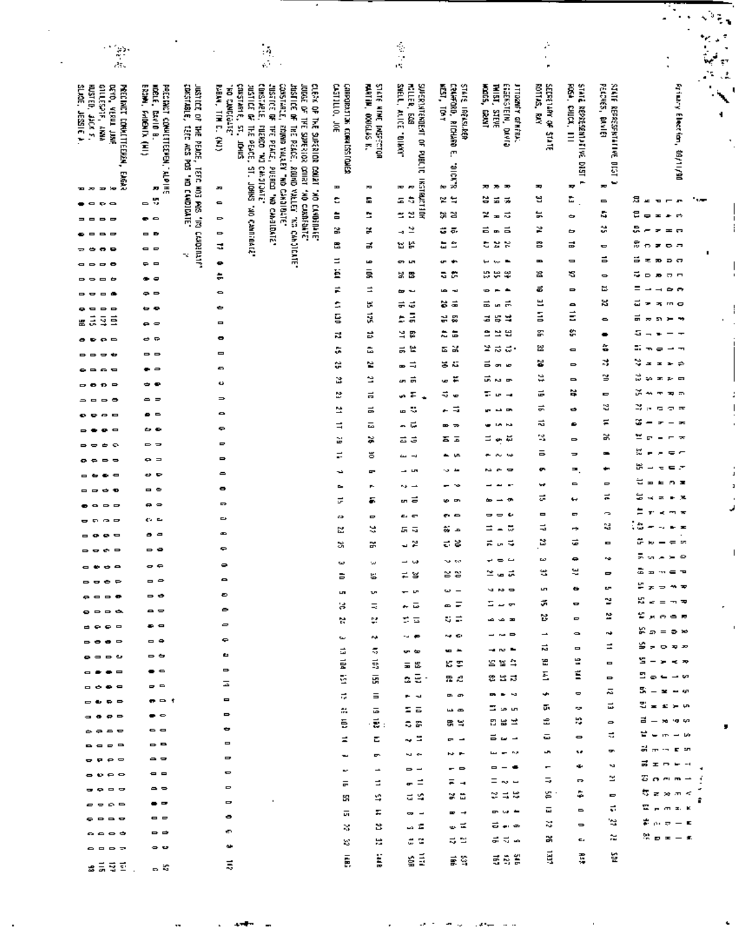|                                                                                                                                                                                                                                                                                                                                                                                                                                                                                                |                                                 |                                                           |                                                                                                                                                                                             |                                           |                                                   |                                                              |                                                           |                                           |                                       |                                                 |                                               | Ą.<br>$\blacksquare$<br>٠                                  | $\mathcal{I}_{\mathcal{I}_{\mathcal{I}}}$ |
|------------------------------------------------------------------------------------------------------------------------------------------------------------------------------------------------------------------------------------------------------------------------------------------------------------------------------------------------------------------------------------------------------------------------------------------------------------------------------------------------|-------------------------------------------------|-----------------------------------------------------------|---------------------------------------------------------------------------------------------------------------------------------------------------------------------------------------------|-------------------------------------------|---------------------------------------------------|--------------------------------------------------------------|-----------------------------------------------------------|-------------------------------------------|---------------------------------------|-------------------------------------------------|-----------------------------------------------|------------------------------------------------------------|-------------------------------------------|
|                                                                                                                                                                                                                                                                                                                                                                                                                                                                                                |                                                 |                                                           |                                                                                                                                                                                             |                                           |                                                   |                                                              |                                                           |                                           |                                       |                                                 |                                               |                                                            | ۰                                         |
|                                                                                                                                                                                                                                                                                                                                                                                                                                                                                                |                                                 |                                                           | $\frac{1}{2}$                                                                                                                                                                               |                                           |                                                   | 医产品                                                          |                                                           |                                           | ć,<br>ï                               |                                                 |                                               | .<br>تېمە                                                  |                                           |
|                                                                                                                                                                                                                                                                                                                                                                                                                                                                                                |                                                 |                                                           |                                                                                                                                                                                             |                                           |                                                   |                                                              |                                                           |                                           | ×                                     |                                                 |                                               |                                                            | 한<br>٦t,<br>4                             |
| PRECINCT CONNETTEENEN, EAGAR                                                                                                                                                                                                                                                                                                                                                                                                                                                                   | EROM, FADENTA (NI)                              | construers,                                               | COMSTABLE, PUERCO "NO CANDICATE"<br>CONSTARLE, ROMAN VALUEY THE CANDIBUTE<br>CLEAR OF THE SUFFAIND COURT "AO CAMBRIATE"<br>JUGGE OF THE SUPERIOR COURT "AO CAMBRIATE"<br>RABAN, TIM D. (KI) | control, ton<br>CARPORATION CORNESS FONES | <b>FARTIN, 000GLAS K.</b><br>STATE MENE BNSPECTOR | SHEL, ALICE "DIMO"<br>ntller, 609<br>SURRINTENTENT OF PUBLIC | <b>KET, TOT</b><br>CRUFORD, RICHURO E.<br>STATE IREASURER | ESSERSTEIN, DAVID<br>MODES, EXUM<br>THET. | ROTTAS, RAY<br>SEDRIVAN WEST AT STATE | ROSA, CHICA, 111<br>STATE REPRESENTATIVE DAST 4 | PECPIES, DIVIER<br>SING REPRESENTATIONE OCS 1 | Friesry Election, 19/11/90                                 |                                           |
| SLAGE, JESSIE A<br>GILLESSIF, ANNA<br><b>JAYL LUJJY QYIQ</b><br><b>HUSTED, JACK F.</b>                                                                                                                                                                                                                                                                                                                                                                                                         | MORLE, DAVID B.<br>PECENCI CONVERTEENES, ALPINE | JUSTICE OF THE PEACE,                                     | CONSTANTE, ST. JOHNS<br><b>MASSICE DE</b><br><b>JUSTICE OF</b><br><b>Barelant's OH.</b><br><b>WATICE OF</b>                                                                                 |                                           |                                                   |                                                              |                                                           | <b>JTTGGMFY GFNFRAL</b><br><b>STEVE</b>   |                                       |                                                 |                                               |                                                            | 4                                         |
|                                                                                                                                                                                                                                                                                                                                                                                                                                                                                                |                                                 |                                                           |                                                                                                                                                                                             |                                           |                                                   |                                                              |                                                           |                                           |                                       |                                                 |                                               |                                                            |                                           |
|                                                                                                                                                                                                                                                                                                                                                                                                                                                                                                |                                                 |                                                           | THE PENCE,                                                                                                                                                                                  |                                           |                                                   |                                                              |                                                           |                                           |                                       |                                                 |                                               |                                                            |                                           |
|                                                                                                                                                                                                                                                                                                                                                                                                                                                                                                |                                                 |                                                           |                                                                                                                                                                                             |                                           |                                                   |                                                              |                                                           |                                           |                                       |                                                 |                                               |                                                            |                                           |
| <b>Ser</b><br>- -<br>$\blacksquare$                                                                                                                                                                                                                                                                                                                                                                                                                                                            | n                                               | TEEE ACS POS "HO CANDICATE"<br>TEFE NOS PAS "IN CANDINAT" | THE PEALE, PUSICO "MA CANDIDATE"<br>THE PEACE, ANNO VALLEY TWO CANDICATE<br>۳,<br>×                                                                                                         | Ŧ                                         | æ                                                 | **                                                           | 8,3010.<br>æ                                              | 77<br>æ<br>æ                              | ᆓ                                     | ᆓ                                               | æ                                             |                                                            |                                           |
| o<br>R.O                                                                                                                                                                                                                                                                                                                                                                                                                                                                                       | ۳,<br>$\blacksquare$                            |                                                           | SHKS ON SHKS<br>۰                                                                                                                                                                           | c                                         | ۵                                                 | <b>INSTRUCTION</b><br>z t                                    | 설설                                                        | ៵<br>ž.<br>帚                              | 9                                     | t.                                              | 0                                             | 叧<br>ta per<br>$\mathbf{x}$<br>Ð<br>$\mathbf{r}$           |                                           |
| $\Rightarrow$<br>$\blacksquare$<br>$\blacksquare$                                                                                                                                                                                                                                                                                                                                                                                                                                              | $\blacksquare$                                  |                                                           | D                                                                                                                                                                                           | å                                         | ٥                                                 | 검<br>≃                                                       | a e                                                       | z<br>ನ<br>$\blacksquare$                  | 는                                     | ÷                                               | 4                                             | e<br>Ð<br>Φ<br>$\equiv$<br>$\bullet$                       |                                           |
| Δ<br>--                                                                                                                                                                                                                                                                                                                                                                                                                                                                                        | - -                                             |                                                           | $\Rightarrow$                                                                                                                                                                               | x                                         | ×                                                 | 4 ≌                                                          | ದ ಕ                                                       | ä<br>$\equiv$<br>œ.                       | ≥                                     | ᇰ                                               | ×                                             | æ<br>$=$ $\Box$<br>$\overline{r}$                          |                                           |
| $\bullet$<br>۰                                                                                                                                                                                                                                                                                                                                                                                                                                                                                 | . .                                             | x                                                         | E,                                                                                                                                                                                          | 岊                                         | ಡ                                                 | ង ង                                                          | £,<br>۵                                                   | с<br>×<br>x                               | 呂                                     | ᇋ                                               | c                                             | g<br>2000<br>D                                             |                                           |
| $\Rightarrow$<br>$\overline{a}$                                                                                                                                                                                                                                                                                                                                                                                                                                                                | $\blacksquare$<br>$\Rightarrow$                 |                                                           | $\bullet$                                                                                                                                                                                   | Ξ<br>ë                                    | ç<br>ā                                            | െ പ<br>보 없                                                   | ٠<br>$\mathbf{r}$<br>÷.                                   | ٮ<br><b>Sec.</b><br>B<br>ین<br>₩          | B<br>옲                                | $\blacksquare$<br>9                             | ã                                             | ö<br>э.<br>9D<br>ລຕ<br>≂                                   |                                           |
| $\blacksquare$<br>-                                                                                                                                                                                                                                                                                                                                                                                                                                                                            |                                                 |                                                           | ÷                                                                                                                                                                                           | Ė                                         | ⋣                                                 | ⊶ ⊶                                                          | ÷<br>s.<br>-4                                             | ٠<br>÷                                    | õ                                     | $\Rightarrow$                                   | $\bullet$<br>ᄇ                                | $\blacksquare$<br>$\mathbf{r}$<br>ನರ<br>Ξ<br>$\sim$ $\sim$ |                                           |
| $\bullet$<br>o<br>$\blacksquare$<br>$\blacksquare$<br>$\Rightarrow$<br>$\blacksquare$                                                                                                                                                                                                                                                                                                                                                                                                          | e =                                             |                                                           | $\bullet$<br>٠                                                                                                                                                                              | Ċ,                                        | ы                                                 | 4<br>긂                                                       | Ξ<br>×                                                    | ᆱ<br>듮<br><b>Let</b>                      | 는                                     | $\qquad \qquad \blacksquare$                    | ×                                             | 급<br>÷<br>э,<br>n <sub>q</sub>                             |                                           |
| Ē<br>å<br>φ<br>圕                                                                                                                                                                                                                                                                                                                                                                                                                                                                               | e o                                             |                                                           | $\blacksquare$                                                                                                                                                                              | ē                                         | ä                                                 | ă<br>È.                                                      | ÷<br>ន                                                    | ×<br>로<br>咢                               | ă                                     | ∸<br>Ξ                                          | ۰                                             | 금<br>53<br>$=$ $-$<br>$\overline{\phantom{a}}$             |                                           |
| $\bullet$ $\bullet$ $\circ$                                                                                                                                                                                                                                                                                                                                                                                                                                                                    | <b>G</b><br>¢                                   |                                                           | ۰                                                                                                                                                                                           | ನ                                         | B                                                 | ă<br>멿                                                       | 55                                                        | 띕<br>≘<br>브                               | 冨                                     | s                                               |                                               | s                                                          |                                           |
| ,                                                                                                                                                                                                                                                                                                                                                                                                                                                                                              | - -                                             |                                                           | $\blacksquare$                                                                                                                                                                              | ö,                                        | â                                                 | 쓴<br>ᇙ                                                       | ធង                                                        | ×<br>ಸ<br>$\overline{a}$                  | 쓾                                     | $\blacksquare$                                  | ŝ                                             | $\overline{\phantom{0}}$<br><b>T</b><br>$\blacksquare$     |                                           |
| ---                                                                                                                                                                                                                                                                                                                                                                                                                                                                                            | $\blacksquare$                                  |                                                           | ٠                                                                                                                                                                                           | ٥                                         | ×                                                 | ∍<br>œ                                                       | 3 G                                                       | ᇹ<br>C.<br>KD.                            | ×                                     | $\Rightarrow$                                   | N,<br>≌                                       | ٧<br>$\mathbf x$<br>$\equiv$<br>⇒<br>$\mathbf{r}$<br>ಜ     |                                           |
| ٠<br>n =                                                                                                                                                                                                                                                                                                                                                                                                                                                                                       | ÷                                               |                                                           | ں                                                                                                                                                                                           | B                                         | ≌                                                 | கக்                                                          | ≆ ص<br>÷                                                  | un.<br>P.A<br>F<br>LP.                    | ≈<br>ᇛ                                | $\blacksquare$<br>×                             | Φ                                             | ÷.<br>主科中<br>x<br>$\Rightarrow$ $\Rightarrow$<br>₩<br>F    |                                           |
| $\blacksquare$<br>$\Rightarrow$                                                                                                                                                                                                                                                                                                                                                                                                                                                                | -<br>$\equiv$                                   |                                                           | $\Rightarrow$                                                                                                                                                                               | ≈<br>≃                                    | Ξ<br>景                                            | ∽ະ<br>÷,<br>G                                                | ×,<br>≂                                                   |                                           | ₹                                     | ٠                                               | S                                             | ¥.,<br>ಾ ಹ<br><b>G</b>                                     |                                           |
| $\sim$ $\Box$                                                                                                                                                                                                                                                                                                                                                                                                                                                                                  | $\blacksquare$                                  |                                                           | ۰<br>0                                                                                                                                                                                      | ⋣                                         | ᇟ                                                 | ᆠᅞ                                                           | Ŗ<br><b>z</b>                                             | łА.                                       | ಸ                                     | ۰                                               | ÷,                                            | ж.                                                         |                                           |
| $\blacksquare$<br>e<br>٠                                                                                                                                                                                                                                                                                                                                                                                                                                                                       | అ<br>▭<br>-                                     |                                                           | Ξ                                                                                                                                                                                           | ¥                                         | ×                                                 | ಪ ತೆ                                                         | a a                                                       | =<br>说<br>en.                             | 22                                    | $\Rightarrow$                                   | ×                                             | r<br>$\overline{\phantom{m}}$<br>$\overline{\phantom{a}}$  |                                           |
| $\Rightarrow$ $\Rightarrow$<br>⇔                                                                                                                                                                                                                                                                                                                                                                                                                                                               | ۰<br>$\equiv$                                   |                                                           | $\blacksquare$                                                                                                                                                                              | Ξ                                         | ŏ                                                 | $\overline{\phantom{a}}$<br>ىت                               | ᆂᅜ                                                        | $\sim$<br><b>Sept</b>                     | ᇹ                                     | $\Rightarrow$                                   | $\blacksquare$                                | Ŀ,<br>$\equiv$                                             |                                           |
| $\blacksquare$                                                                                                                                                                                                                                                                                                                                                                                                                                                                                 | o                                               |                                                           | $\equiv$                                                                                                                                                                                    | دە                                        | œ                                                 | S<br>÷                                                       | س ي.                                                      | $\blacksquare$                            | ø                                     | $\equiv$                                        | ٠                                             | ٣<br>ч. т<br>≂                                             |                                           |
| $\bullet$                                                                                                                                                                                                                                                                                                                                                                                                                                                                                      | - -                                             |                                                           |                                                                                                                                                                                             | P.                                        | ь.                                                | $\sim$ $-$                                                   |                                                           |                                           | w                                     | $\blacksquare$                                  | Φ<br>÷                                        | ₩<br><b>OB</b><br>$\blacksquare$<br>∗<br>s                 |                                           |
| - -                                                                                                                                                                                                                                                                                                                                                                                                                                                                                            | $\Rightarrow$<br>Ð                              |                                                           | $\overline{a}$                                                                                                                                                                              | σ                                         | 5                                                 | ᇚᆯ                                                           | ທ ຫ                                                       | œ<br>œ<br>$\ddot{\phantom{1}}$            | ದ<br>Ξ                                | بيه<br>P                                        | c.                                            | J.<br>$\equiv$<br>٠                                        |                                           |
| $\sim$ $\sim$                                                                                                                                                                                                                                                                                                                                                                                                                                                                                  | C 11                                            |                                                           | ᆸ                                                                                                                                                                                           | cэ<br>M                                   | $\overline{a}$<br>₩                               | ິ<br>a a                                                     | . .<br>₩<br>م                                             | 0<br>ಜ<br>⋍                               | ₹                                     | ⇔                                               | N                                             | ٥                                                          |                                           |
| $\bullet$ $\bullet$<br>- 0                                                                                                                                                                                                                                                                                                                                                                                                                                                                     | . .                                             |                                                           | ٠                                                                                                                                                                                           | õ.                                        | 중                                                 | ≅ ب                                                          | ಕ ಕ                                                       | <b>. .</b>                                | 5ż<br>ىما                             |                                                 |                                               | ÷                                                          |                                           |
| ----                                                                                                                                                                                                                                                                                                                                                                                                                                                                                           | $\sim$ $\sim$<br>e e                            |                                                           | ٠                                                                                                                                                                                           | e.                                        | w                                                 | دی ہے                                                        | 59.59                                                     | ت ک پ                                     | حما                                   | ٠                                               | na.                                           | 통해 시계적                                                     |                                           |
| $- + - -$<br>$\bullet$ $\bullet$ $\bullet$                                                                                                                                                                                                                                                                                                                                                                                                                                                     | - ⊶                                             |                                                           | $\bullet$                                                                                                                                                                                   | ь                                         | 님                                                 | ≠ ೫                                                          | 용 정                                                       | せるめ                                       | 営                                     | ч                                               | $\blacksquare$                                | <b>&amp; a we e</b>                                        |                                           |
| $\bullet \bullet \bullet \bullet$                                                                                                                                                                                                                                                                                                                                                                                                                                                              | - -                                             |                                                           | ۰                                                                                                                                                                                           | L.                                        | u.                                                | - 5                                                          | $\omega =$                                                | $-$                                       | L.                                    | ٠                                               | b.                                            | មីទមកទ                                                     |                                           |
| .                                                                                                                                                                                                                                                                                                                                                                                                                                                                                              | $\bullet$                                       |                                                           | ۰                                                                                                                                                                                           | ×                                         | ÷.                                                | ᆠᅙ                                                           | = =                                                       | ចទត                                       | ÷.<br>运                               | o                                               | ≃<br>r                                        | ងនៃគមទ<br>មីនគតគ                                           |                                           |
| $\begin{array}{cccccccccccccc} \multicolumn{4}{c}{} & \multicolumn{4}{c}{} & \multicolumn{4}{c}{} & \multicolumn{4}{c}{} & \multicolumn{4}{c}{} & \multicolumn{4}{c}{} & \multicolumn{4}{c}{} & \multicolumn{4}{c}{} & \multicolumn{4}{c}{} & \multicolumn{4}{c}{} & \multicolumn{4}{c}{} & \multicolumn{4}{c}{} & \multicolumn{4}{c}{} & \multicolumn{4}{c}{} & \multicolumn{4}{c}{} & \multicolumn{4}{c}{} & \multicolumn{4}{c}{} & \multicolumn{4}{c}{} & \multicolumn{4}{c}{} & \$         | $\bullet$ $\bullet$                             |                                                           | $\epsilon$                                                                                                                                                                                  | ν.                                        | t.                                                | 本本                                                           | ೮ ಕ                                                       | دی ما ما<br>$- - - -$                     | $\overline{\phantom{a}}$              | $\Rightarrow$<br>$\bullet$                      | n.                                            | ង៉ឺ១=៦≫                                                    |                                           |
| $\sim$ $\sim$ $\sim$ $\sim$                                                                                                                                                                                                                                                                                                                                                                                                                                                                    | - *                                             |                                                           | ٠                                                                                                                                                                                           | $\tilde{\phantom{a}}$<br>급                | ç<br>5                                            | $ -$<br>ທ່                                                   | ia e<br>- ∸                                               | $\rightarrow$ $\sim$ $\sim$               | 급                                     | $\qquad \qquad \blacksquare$                    | Ξ                                             | အိန္ဇာနားဆ                                                 |                                           |
| $\bullet$ $\bullet$ $\bullet$                                                                                                                                                                                                                                                                                                                                                                                                                                                                  | - -                                             |                                                           | 6                                                                                                                                                                                           | 륲                                         | 喜                                                 | 三出                                                           | 55 E                                                      | ននង                                       | 褞                                     | 쎺                                               | $\blacksquare$                                | 5 - <b>-</b> - *                                           |                                           |
| $\begin{array}{cccccccccccccc} \circ & \bullet & \bullet & \bullet & \circ \end{array}$                                                                                                                                                                                                                                                                                                                                                                                                        | $\bullet$ $\circ$<br>$\bullet$ $\bullet$        |                                                           | $\Rightarrow$<br>Ξ                                                                                                                                                                          | ē                                         | E,                                                | a En                                                         | 出起                                                        | 8 3 J                                     | Ξ                                     | Ĕ                                               | $\Rightarrow$                                 | $\Sigma$ and $\rightarrow$ $\omega$                        |                                           |
| $\begin{array}{cccccccccccccc} \multicolumn{4}{c}{} & \multicolumn{4}{c}{} & \multicolumn{4}{c}{} & \multicolumn{4}{c}{} & \multicolumn{4}{c}{} & \multicolumn{4}{c}{} & \multicolumn{4}{c}{} & \multicolumn{4}{c}{} & \multicolumn{4}{c}{} & \multicolumn{4}{c}{} & \multicolumn{4}{c}{} & \multicolumn{4}{c}{} & \multicolumn{4}{c}{} & \multicolumn{4}{c}{} & \multicolumn{4}{c}{} & \multicolumn{4}{c}{} & \multicolumn{4}{c}{} & \multicolumn{4}{c}{} & \multicolumn{4}{c}{} & \$<br>---- | $\bullet$ $\circ$ $\circ$                       |                                                           | $\qquad \qquad \blacksquare$                                                                                                                                                                | $\overline{\mathcal{M}}$                  | $\equiv$                                          | <b>P. N.</b>                                                 | . .                                                       | ---                                       | ٠þ                                    | ۰                                               | ᇙ                                             | 5 – 2 – 0                                                  |                                           |
| $- - - -$                                                                                                                                                                                                                                                                                                                                                                                                                                                                                      | $\bullet$ $\circ$                               |                                                           | $\Rightarrow$                                                                                                                                                                               | ÷.                                        | ᇰ                                                 | 도 교                                                          | ده سا                                                     | <b>ច</b> ្ចេញ                             | ņ.                                    | na.                                             | 급                                             | ដី ≡ ≤ ⊨ ທ<br>급 _ ኤ ๑ ๑                                    |                                           |
| $\begin{array}{cccccccccccccc} \circ & \circ & \circ & \circ & \circ \end{array}$                                                                                                                                                                                                                                                                                                                                                                                                              | $\bullet$ $\bullet$                             |                                                           | ٠                                                                                                                                                                                           | 동                                         | $\cdot$ .                                         | ನ ಕಾ                                                         | 第 当                                                       | 四世出                                       | e<br>a                                | H,<br>$\bullet$                                 | $\Rightarrow$<br>÷                            | せいホール                                                      |                                           |
| <b>BODD</b>                                                                                                                                                                                                                                                                                                                                                                                                                                                                                    | $\mathbf{B}$                                    |                                                           | $\qquad \qquad \blacksquare$                                                                                                                                                                | ÷,                                        | Е                                                 | $\sim$ $\approx$<br>sa les                                   | $\sim$ $-$<br><b>N.P.</b>                                 | ಕಲ⊸<br>من سوريت                           | ç,                                    | w                                               | ÷                                             | គឺភក្តុងា                                                  |                                           |
| $\neg$ $\neg$ $\neg$                                                                                                                                                                                                                                                                                                                                                                                                                                                                           | $\sim$ $\sim$                                   |                                                           | $\Rightarrow$                                                                                                                                                                               | L<br>×,                                   | p.<br>$\overline{\phantom{a}}$                    | $\rightarrow$ $-$                                            | $ -$                                                      | $\qquad \qquad \blacksquare$              | -                                     | ÷                                               | ×.                                            | 를 エ n ㅠ -:                                                 |                                           |
| $-0.000$                                                                                                                                                                                                                                                                                                                                                                                                                                                                                       | $\blacksquare$<br>$\sim$ $\sim$                 |                                                           | ۰<br>$\qquad \qquad \blacksquare$                                                                                                                                                           | ᇹ                                         | ÷                                                 | " =                                                          | 두 국                                                       | ت مہ ⊏                                    | 5                                     | $\overline{ }$                                  | z                                             | ខេត្តក∸                                                    |                                           |
| $\begin{array}{cccccccccccccc} \circ & \circ & \circ & \circ & \circ \end{array}$<br>$\bullet$ $\circ$ $\circ$ $\circ$                                                                                                                                                                                                                                                                                                                                                                         | $\bullet$ $\bullet$                             |                                                           | $\overline{\phantom{0}}$                                                                                                                                                                    | 띩                                         | 耸                                                 | ದ ಬಿ                                                         | ೫ ದಿ                                                      | ೫ ಸ ೪                                     | s                                     | ۵                                               | ۰                                             | ធិត្តការ                                                   |                                           |
| $\bullet$ $\bullet$ $\bullet$                                                                                                                                                                                                                                                                                                                                                                                                                                                                  | $\bullet$ $\bullet$                             |                                                           | ۰                                                                                                                                                                                           | σī.                                       | r.                                                | $\frac{1}{2}$                                                | $\blacksquare$                                            | ∞ ಆ ≐                                     | 言                                     | $\blacksquare$                                  | ÷<br>$\approx$                                | មិត្តខុត<br>あんきーロ                                          |                                           |
| $\begin{array}{c} \bullet \bullet \bullet \bullet \end{array}$                                                                                                                                                                                                                                                                                                                                                                                                                                 | $\Rightarrow$ $\Rightarrow$                     |                                                           | ÷                                                                                                                                                                                           | ×.                                        | B                                                 | - 2                                                          | ≃ س                                                       | ಕ್ಕೂ                                      | х.<br>ж                               | $\Rightarrow$<br>c.                             | ≈                                             | 第四三十五                                                      |                                           |
| ----                                                                                                                                                                                                                                                                                                                                                                                                                                                                                           | ິ                                               |                                                           | $\bullet$                                                                                                                                                                                   | ×                                         | m                                                 | a ¤                                                          | ನ ≈                                                       | ಕನೂ                                       |                                       |                                                 | 띂                                             |                                                            |                                           |
| ☎ 淸 명 호                                                                                                                                                                                                                                                                                                                                                                                                                                                                                        | - 3                                             |                                                           | ă                                                                                                                                                                                           | Ē.                                        | ı                                                 | 출출                                                           | 象質                                                        | 普魯當                                       | ē                                     | Ē,                                              |                                               |                                                            |                                           |
|                                                                                                                                                                                                                                                                                                                                                                                                                                                                                                |                                                 |                                                           |                                                                                                                                                                                             |                                           |                                                   |                                                              |                                                           |                                           |                                       |                                                 |                                               |                                                            |                                           |

۰.

 $\blacksquare$